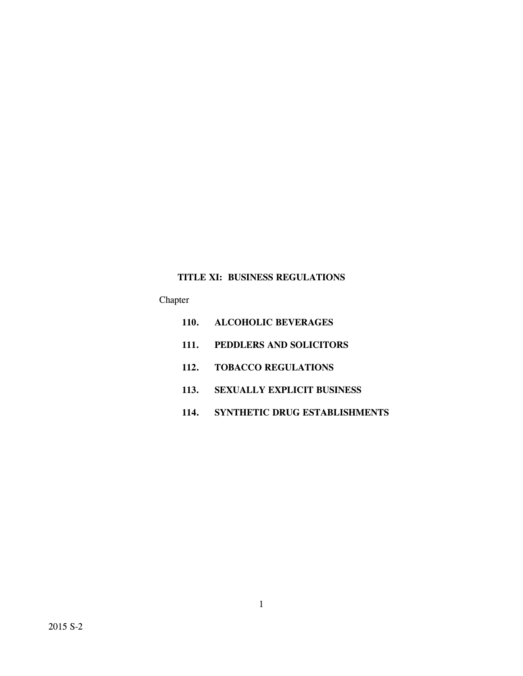# **TITLE XI: BUSINESS REGULATIONS**

Chapter

- **110. ALCOHOLIC BEVERAGES**
- **111. PEDDLERS AND SOLICITORS**
- **112. TOBACCO REGULATIONS**
- **113. SEXUALLY EXPLICIT BUSINESS**
- **114. SYNTHETIC DRUG ESTABLISHMENTS**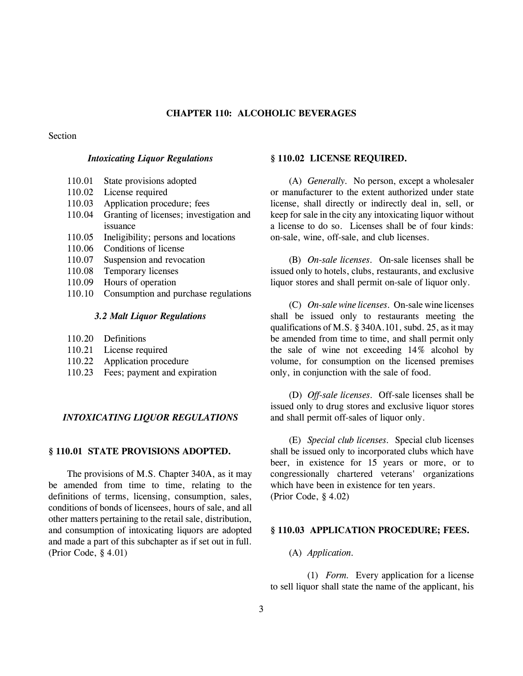# **CHAPTER 110: ALCOHOLIC BEVERAGES**

## Section

### *Intoxicating Liquor Regulations*

- 110.01 State provisions adopted
- 110.02 License required
- 110.03 Application procedure; fees
- 110.04 Granting of licenses; investigation and issuance
- 110.05 Ineligibility; persons and locations
- 110.06 Conditions of license
- 110.07 Suspension and revocation
- 110.08 Temporary licenses
- 110.09 Hours of operation
- 110.10 Consumption and purchase regulations

### *3.2 Malt Liquor Regulations*

- 110.20 Definitions
- 110.21 License required
- 110.22 Application procedure
- 110.23 Fees; payment and expiration

# *INTOXICATING LIQUOR REGULATIONS*

### **§ 110.01 STATE PROVISIONS ADOPTED.**

The provisions of M.S. Chapter 340A, as it may be amended from time to time, relating to the definitions of terms, licensing, consumption, sales, conditions of bonds of licensees, hours of sale, and all other matters pertaining to the retail sale, distribution, and consumption of intoxicating liquors are adopted and made a part of this subchapter as if set out in full. (Prior Code, § 4.01)

### **§ 110.02 LICENSE REQUIRED.**

(A) *Generally.* No person, except a wholesaler or manufacturer to the extent authorized under state license, shall directly or indirectly deal in, sell, or keep for sale in the city any intoxicating liquor without a license to do so. Licenses shall be of four kinds: on-sale, wine, off-sale, and club licenses.

(B) *On-sale licenses.* On-sale licenses shall be issued only to hotels, clubs, restaurants, and exclusive liquor stores and shall permit on-sale of liquor only.

(C) *On-sale wine licenses.* On-sale wine licenses shall be issued only to restaurants meeting the qualifications of M.S. § 340A.101, subd. 25, as it may be amended from time to time, and shall permit only the sale of wine not exceeding 14% alcohol by volume, for consumption on the licensed premises only, in conjunction with the sale of food.

(D) *Off-sale licenses.* Off-sale licenses shall be issued only to drug stores and exclusive liquor stores and shall permit off-sales of liquor only.

(E) *Special club licenses.* Special club licenses shall be issued only to incorporated clubs which have beer, in existence for 15 years or more, or to congressionally chartered veterans' organizations which have been in existence for ten years. (Prior Code, § 4.02)

## **§ 110.03 APPLICATION PROCEDURE; FEES.**

## (A) *Application.*

(1) *Form.* Every application for a license to sell liquor shall state the name of the applicant, his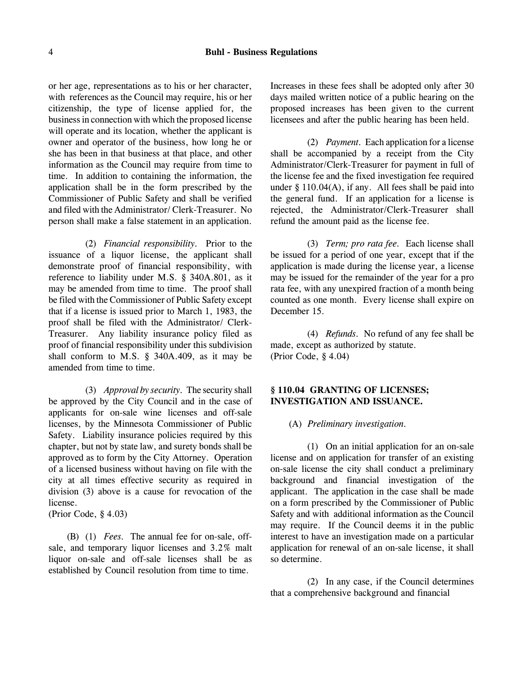#### 4 **Buhl - Business Regulations**

or her age, representations as to his or her character, with references as the Council may require, his or her citizenship, the type of license applied for, the business in connection with which the proposed license will operate and its location, whether the applicant is owner and operator of the business, how long he or she has been in that business at that place, and other information as the Council may require from time to time. In addition to containing the information, the application shall be in the form prescribed by the Commissioner of Public Safety and shall be verified and filed with the Administrator/ Clerk-Treasurer. No person shall make a false statement in an application.

(2) *Financial responsibility.* Prior to the issuance of a liquor license, the applicant shall demonstrate proof of financial responsibility, with reference to liability under M.S. § 340A.801, as it may be amended from time to time. The proof shall be filed with the Commissioner of Public Safety except that if a license is issued prior to March 1, 1983, the proof shall be filed with the Administrator/ Clerk-Treasurer. Any liability insurance policy filed as proof of financial responsibility under this subdivision shall conform to M.S. § 340A.409, as it may be amended from time to time.

(3) *Approval by security.* The security shall be approved by the City Council and in the case of applicants for on-sale wine licenses and off-sale licenses, by the Minnesota Commissioner of Public Safety. Liability insurance policies required by this chapter, but not by state law, and surety bonds shall be approved as to form by the City Attorney. Operation of a licensed business without having on file with the city at all times effective security as required in division (3) above is a cause for revocation of the license.

(Prior Code, § 4.03)

(B) (1) *Fees.* The annual fee for on-sale, offsale, and temporary liquor licenses and 3.2% malt liquor on-sale and off-sale licenses shall be as established by Council resolution from time to time.

Increases in these fees shall be adopted only after 30 days mailed written notice of a public hearing on the proposed increases has been given to the current licensees and after the public hearing has been held.

(2) *Payment.* Each application for a license shall be accompanied by a receipt from the City Administrator/Clerk-Treasurer for payment in full of the license fee and the fixed investigation fee required under  $\S$  110.04(A), if any. All fees shall be paid into the general fund. If an application for a license is rejected, the Administrator/Clerk-Treasurer shall refund the amount paid as the license fee.

(3) *Term; pro rata fee.* Each license shall be issued for a period of one year, except that if the application is made during the license year, a license may be issued for the remainder of the year for a pro rata fee, with any unexpired fraction of a month being counted as one month. Every license shall expire on December 15.

(4) *Refunds.* No refund of any fee shall be made, except as authorized by statute. (Prior Code, § 4.04)

# **§ 110.04 GRANTING OF LICENSES; INVESTIGATION AND ISSUANCE.**

(A) *Preliminary investigation.*

(1) On an initial application for an on-sale license and on application for transfer of an existing on-sale license the city shall conduct a preliminary background and financial investigation of the applicant. The application in the case shall be made on a form prescribed by the Commissioner of Public Safety and with additional information as the Council may require. If the Council deems it in the public interest to have an investigation made on a particular application for renewal of an on-sale license, it shall so determine.

(2) In any case, if the Council determines that a comprehensive background and financial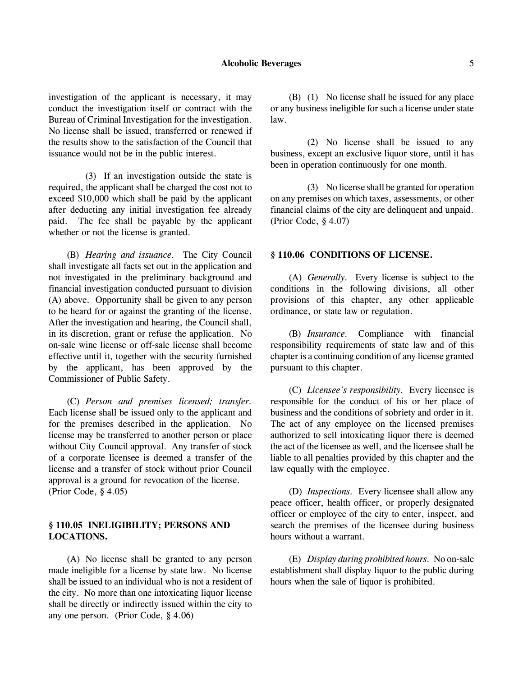### **Alcoholic Beverages** 5

investigation of the applicant is necessary, it may conduct the investigation itself or contract with the Bureau of Criminal Investigation for the investigation. No license shall be issued, transferred or renewed if the results show to the satisfaction of the Council that issuance would not be in the public interest.

(3) If an investigation outside the state is required, the applicant shall be charged the cost not to exceed \$10,000 which shall be paid by the applicant after deducting any initial investigation fee already paid. The fee shall be payable by the applicant whether or not the license is granted.

(B) *Hearing and issuance.* The City Council shall investigate all facts set out in the application and not investigated in the preliminary background and financial investigation conducted pursuant to division (A) above. Opportunity shall be given to any person to be heard for or against the granting of the license. After the investigation and hearing, the Council shall, in its discretion, grant or refuse the application. No on-sale wine license or off-sale license shall become effective until it, together with the security furnished by the applicant, has been approved by the Commissioner of Public Safety.

(C) *Person and premises licensed; transfer.* Each license shall be issued only to the applicant and for the premises described in the application. No license may be transferred to another person or place without City Council approval. Any transfer of stock of a corporate licensee is deemed a transfer of the license and a transfer of stock without prior Council approval is a ground for revocation of the license. (Prior Code, § 4.05)

# **§ 110.05 INELIGIBILITY; PERSONS AND LOCATIONS.**

(A) No license shall be granted to any person made ineligible for a license by state law. No license shall be issued to an individual who is not a resident of the city. No more than one intoxicating liquor license shall be directly or indirectly issued within the city to any one person. (Prior Code, § 4.06)

(B) (1) No license shall be issued for any place or any business ineligible for such a license under state law.

(2) No license shall be issued to any business, except an exclusive liquor store, until it has been in operation continuously for one month.

(3) No license shall be granted for operation on any premises on which taxes, assessments, or other financial claims of the city are delinquent and unpaid. (Prior Code, § 4.07)

## **§ 110.06 CONDITIONS OF LICENSE.**

(A) *Generally.* Every license is subject to the conditions in the following divisions, all other provisions of this chapter, any other applicable ordinance, or state law or regulation.

(B) *Insurance.* Compliance with financial responsibility requirements of state law and of this chapter is a continuing condition of any license granted pursuant to this chapter.

(C) *Licensee's responsibility.* Every licensee is responsible for the conduct of his or her place of business and the conditions of sobriety and order in it. The act of any employee on the licensed premises authorized to sell intoxicating liquor there is deemed the act of the licensee as well, and the licensee shall be liable to all penalties provided by this chapter and the law equally with the employee.

(D) *Inspections.* Every licensee shall allow any peace officer, health officer, or properly designated officer or employee of the city to enter, inspect, and search the premises of the licensee during business hours without a warrant.

(E) *Display during prohibited hours.* No on-sale establishment shall display liquor to the public during hours when the sale of liquor is prohibited.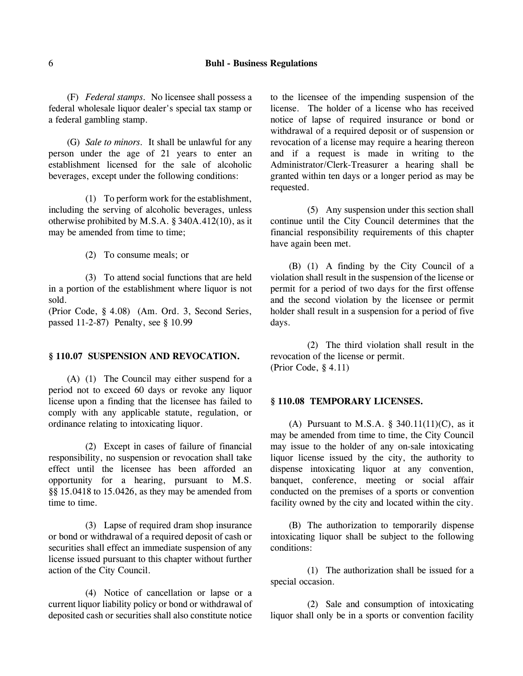## 6 **Buhl - Business Regulations**

(F) *Federal stamps.* No licensee shall possess a federal wholesale liquor dealer's special tax stamp or a federal gambling stamp.

(G) *Sale to minors.* It shall be unlawful for any person under the age of 21 years to enter an establishment licensed for the sale of alcoholic beverages, except under the following conditions:

(1) To perform work for the establishment, including the serving of alcoholic beverages, unless otherwise prohibited by M.S.A. § 340A.412(10), as it may be amended from time to time;

(2) To consume meals; or

(3) To attend social functions that are held in a portion of the establishment where liquor is not sold.

(Prior Code, § 4.08) (Am. Ord. 3, Second Series, passed 11-2-87) Penalty, see § 10.99

#### **§ 110.07 SUSPENSION AND REVOCATION.**

(A) (1) The Council may either suspend for a period not to exceed 60 days or revoke any liquor license upon a finding that the licensee has failed to comply with any applicable statute, regulation, or ordinance relating to intoxicating liquor.

(2) Except in cases of failure of financial responsibility, no suspension or revocation shall take effect until the licensee has been afforded an opportunity for a hearing, pursuant to M.S. §§ 15.0418 to 15.0426, as they may be amended from time to time.

(3) Lapse of required dram shop insurance or bond or withdrawal of a required deposit of cash or securities shall effect an immediate suspension of any license issued pursuant to this chapter without further action of the City Council.

(4) Notice of cancellation or lapse or a current liquor liability policy or bond or withdrawal of deposited cash or securities shall also constitute notice to the licensee of the impending suspension of the license. The holder of a license who has received notice of lapse of required insurance or bond or withdrawal of a required deposit or of suspension or revocation of a license may require a hearing thereon and if a request is made in writing to the Administrator/Clerk-Treasurer a hearing shall be granted within ten days or a longer period as may be requested.

(5) Any suspension under this section shall continue until the City Council determines that the financial responsibility requirements of this chapter have again been met.

(B) (1) A finding by the City Council of a violation shall result in the suspension of the license or permit for a period of two days for the first offense and the second violation by the licensee or permit holder shall result in a suspension for a period of five days.

(2) The third violation shall result in the revocation of the license or permit. (Prior Code, § 4.11)

## **§ 110.08 TEMPORARY LICENSES.**

(A) Pursuant to M.S.A.  $\S$  340.11(11)(C), as it may be amended from time to time, the City Council may issue to the holder of any on-sale intoxicating liquor license issued by the city, the authority to dispense intoxicating liquor at any convention, banquet, conference, meeting or social affair conducted on the premises of a sports or convention facility owned by the city and located within the city.

(B) The authorization to temporarily dispense intoxicating liquor shall be subject to the following conditions:

(1) The authorization shall be issued for a special occasion.

(2) Sale and consumption of intoxicating liquor shall only be in a sports or convention facility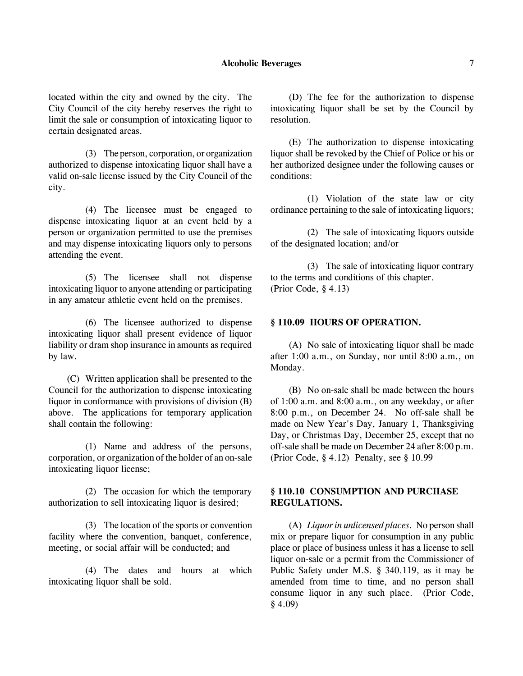### **Alcoholic Beverages** 7

located within the city and owned by the city. The City Council of the city hereby reserves the right to limit the sale or consumption of intoxicating liquor to certain designated areas.

(3) The person, corporation, or organization authorized to dispense intoxicating liquor shall have a valid on-sale license issued by the City Council of the city.

(4) The licensee must be engaged to dispense intoxicating liquor at an event held by a person or organization permitted to use the premises and may dispense intoxicating liquors only to persons attending the event.

(5) The licensee shall not dispense intoxicating liquor to anyone attending or participating in any amateur athletic event held on the premises.

(6) The licensee authorized to dispense intoxicating liquor shall present evidence of liquor liability or dram shop insurance in amounts as required by law.

(C) Written application shall be presented to the Council for the authorization to dispense intoxicating liquor in conformance with provisions of division (B) above. The applications for temporary application shall contain the following:

(1) Name and address of the persons, corporation, or organization of the holder of an on-sale intoxicating liquor license;

(2) The occasion for which the temporary authorization to sell intoxicating liquor is desired;

(3) The location of the sports or convention facility where the convention, banquet, conference, meeting, or social affair will be conducted; and

(4) The dates and hours at which intoxicating liquor shall be sold.

(D) The fee for the authorization to dispense intoxicating liquor shall be set by the Council by resolution.

(E) The authorization to dispense intoxicating liquor shall be revoked by the Chief of Police or his or her authorized designee under the following causes or conditions:

(1) Violation of the state law or city ordinance pertaining to the sale of intoxicating liquors;

(2) The sale of intoxicating liquors outside of the designated location; and/or

(3) The sale of intoxicating liquor contrary to the terms and conditions of this chapter. (Prior Code, § 4.13)

### **§ 110.09 HOURS OF OPERATION.**

(A) No sale of intoxicating liquor shall be made after 1:00 a.m., on Sunday, nor until 8:00 a.m., on Monday.

(B) No on-sale shall be made between the hours of 1:00 a.m. and 8:00 a.m., on any weekday, or after 8:00 p.m., on December 24. No off-sale shall be made on New Year's Day, January 1, Thanksgiving Day, or Christmas Day, December 25, except that no off-sale shall be made on December 24 after 8:00 p.m. (Prior Code, § 4.12) Penalty, see § 10.99

# **§ 110.10 CONSUMPTION AND PURCHASE REGULATIONS.**

(A) *Liquor in unlicensed places.* No person shall mix or prepare liquor for consumption in any public place or place of business unless it has a license to sell liquor on-sale or a permit from the Commissioner of Public Safety under M.S. § 340.119, as it may be amended from time to time, and no person shall consume liquor in any such place. (Prior Code, § 4.09)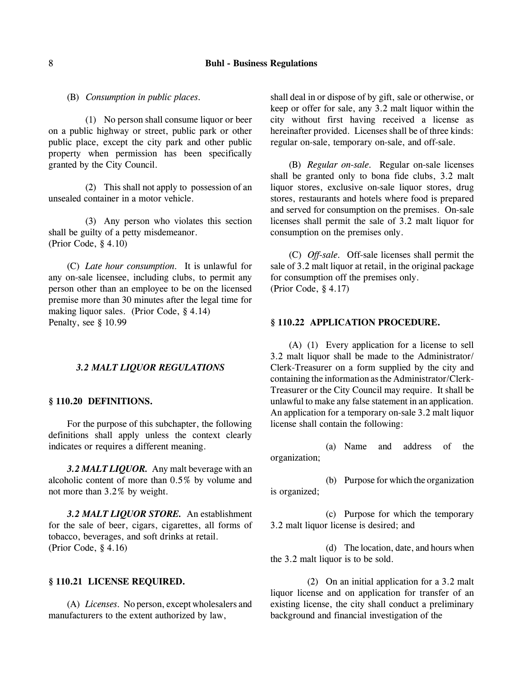## 8 **Buhl - Business Regulations**

(B) *Consumption in public places.*

(1) No person shall consume liquor or beer on a public highway or street, public park or other public place, except the city park and other public property when permission has been specifically granted by the City Council.

(2) This shall not apply to possession of an unsealed container in a motor vehicle.

(3) Any person who violates this section shall be guilty of a petty misdemeanor. (Prior Code, § 4.10)

(C) *Late hour consumption.* It is unlawful for any on-sale licensee, including clubs, to permit any person other than an employee to be on the licensed premise more than 30 minutes after the legal time for making liquor sales. (Prior Code, § 4.14) Penalty, see § 10.99

#### *3.2 MALT LIQUOR REGULATIONS*

### **§ 110.20 DEFINITIONS.**

For the purpose of this subchapter, the following definitions shall apply unless the context clearly indicates or requires a different meaning.

*3.2 MALT LIQUOR.* Any malt beverage with an alcoholic content of more than 0.5% by volume and not more than 3.2% by weight.

*3.2 MALT LIQUOR STORE.* An establishment for the sale of beer, cigars, cigarettes, all forms of tobacco, beverages, and soft drinks at retail. (Prior Code, § 4.16)

#### **§ 110.21 LICENSE REQUIRED.**

(A) *Licenses.* No person, except wholesalers and manufacturers to the extent authorized by law,

shall deal in or dispose of by gift, sale or otherwise, or keep or offer for sale, any 3.2 malt liquor within the city without first having received a license as hereinafter provided. Licenses shall be of three kinds: regular on-sale, temporary on-sale, and off-sale.

(B) *Regular on-sale.* Regular on-sale licenses shall be granted only to bona fide clubs, 3.2 malt liquor stores, exclusive on-sale liquor stores, drug stores, restaurants and hotels where food is prepared and served for consumption on the premises. On-sale licenses shall permit the sale of 3.2 malt liquor for consumption on the premises only.

(C) *Off-sale.* Off-sale licenses shall permit the sale of 3.2 malt liquor at retail, in the original package for consumption off the premises only. (Prior Code, § 4.17)

#### **§ 110.22 APPLICATION PROCEDURE.**

(A) (1) Every application for a license to sell 3.2 malt liquor shall be made to the Administrator/ Clerk-Treasurer on a form supplied by the city and containing the information as the Administrator/Clerk-Treasurer or the City Council may require. It shall be unlawful to make any false statement in an application. An application for a temporary on-sale 3.2 malt liquor license shall contain the following:

(a) Name and address of the organization;

(b) Purpose for which the organization is organized;

(c) Purpose for which the temporary 3.2 malt liquor license is desired; and

(d) The location, date, and hours when the 3.2 malt liquor is to be sold.

(2) On an initial application for a 3.2 malt liquor license and on application for transfer of an existing license, the city shall conduct a preliminary background and financial investigation of the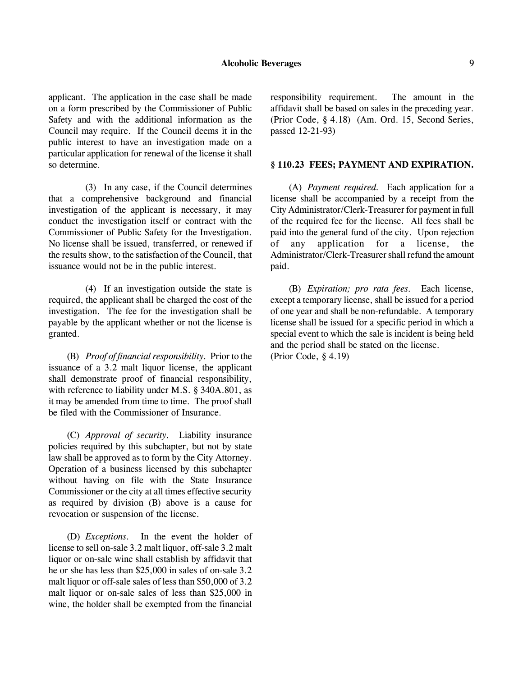### **Alcoholic Beverages** 9

applicant. The application in the case shall be made on a form prescribed by the Commissioner of Public Safety and with the additional information as the Council may require. If the Council deems it in the public interest to have an investigation made on a particular application for renewal of the license it shall

(3) In any case, if the Council determines that a comprehensive background and financial investigation of the applicant is necessary, it may conduct the investigation itself or contract with the Commissioner of Public Safety for the Investigation. No license shall be issued, transferred, or renewed if the results show, to the satisfaction of the Council, that issuance would not be in the public interest.

so determine.

(4) If an investigation outside the state is required, the applicant shall be charged the cost of the investigation. The fee for the investigation shall be payable by the applicant whether or not the license is granted.

(B) *Proof of financial responsibility.* Prior to the issuance of a 3.2 malt liquor license, the applicant shall demonstrate proof of financial responsibility, with reference to liability under M.S. § 340A.801, as it may be amended from time to time. The proof shall be filed with the Commissioner of Insurance.

(C) *Approval of security.* Liability insurance policies required by this subchapter, but not by state law shall be approved as to form by the City Attorney. Operation of a business licensed by this subchapter without having on file with the State Insurance Commissioner or the city at all times effective security as required by division (B) above is a cause for revocation or suspension of the license.

(D) *Exceptions.* In the event the holder of license to sell on-sale 3.2 malt liquor, off-sale 3.2 malt liquor or on-sale wine shall establish by affidavit that he or she has less than \$25,000 in sales of on-sale 3.2 malt liquor or off-sale sales of less than \$50,000 of 3.2 malt liquor or on-sale sales of less than \$25,000 in wine, the holder shall be exempted from the financial responsibility requirement. The amount in the affidavit shall be based on sales in the preceding year. (Prior Code, § 4.18) (Am. Ord. 15, Second Series, passed 12-21-93)

#### **§ 110.23 FEES; PAYMENT AND EXPIRATION.**

(A) *Payment required.* Each application for a license shall be accompanied by a receipt from the City Administrator/Clerk-Treasurer for payment in full of the required fee for the license. All fees shall be paid into the general fund of the city. Upon rejection of any application for a license, the Administrator/Clerk-Treasurer shall refund the amount paid.

(B) *Expiration; pro rata fees.* Each license, except a temporary license, shall be issued for a period of one year and shall be non-refundable. A temporary license shall be issued for a specific period in which a special event to which the sale is incident is being held and the period shall be stated on the license. (Prior Code, § 4.19)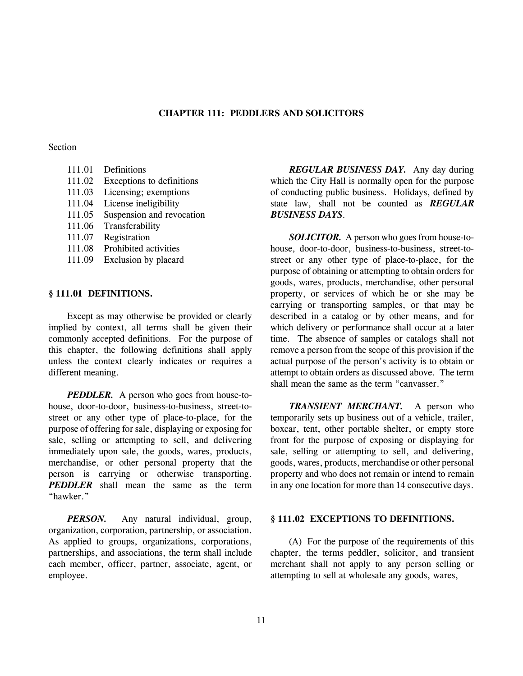## **CHAPTER 111: PEDDLERS AND SOLICITORS**

## Section

111.01 Definitions 111.02 Exceptions to definitions 111.03 Licensing; exemptions 111.04 License ineligibility 111.05 Suspension and revocation 111.06 Transferability 111.07 Registration 111.08 Prohibited activities 111.09 Exclusion by placard

### **§ 111.01 DEFINITIONS.**

Except as may otherwise be provided or clearly implied by context, all terms shall be given their commonly accepted definitions. For the purpose of this chapter, the following definitions shall apply unless the context clearly indicates or requires a different meaning.

*PEDDLER.* A person who goes from house-tohouse, door-to-door, business-to-business, street-tostreet or any other type of place-to-place, for the purpose of offering for sale, displaying or exposing for sale, selling or attempting to sell, and delivering immediately upon sale, the goods, wares, products, merchandise, or other personal property that the person is carrying or otherwise transporting. *PEDDLER* shall mean the same as the term "hawker."

*PERSON.* Any natural individual, group, organization, corporation, partnership, or association. As applied to groups, organizations, corporations, partnerships, and associations, the term shall include each member, officer, partner, associate, agent, or employee.

*REGULAR BUSINESS DAY.* Any day during which the City Hall is normally open for the purpose of conducting public business. Holidays, defined by state law, shall not be counted as *REGULAR BUSINESS DAYS*.

*SOLICITOR.* A person who goes from house-tohouse, door-to-door, business-to-business, street-tostreet or any other type of place-to-place, for the purpose of obtaining or attempting to obtain orders for goods, wares, products, merchandise, other personal property, or services of which he or she may be carrying or transporting samples, or that may be described in a catalog or by other means, and for which delivery or performance shall occur at a later time. The absence of samples or catalogs shall not remove a person from the scope of this provision if the actual purpose of the person's activity is to obtain or attempt to obtain orders as discussed above. The term shall mean the same as the term "canvasser."

*TRANSIENT MERCHANT.* A person who temporarily sets up business out of a vehicle, trailer, boxcar, tent, other portable shelter, or empty store front for the purpose of exposing or displaying for sale, selling or attempting to sell, and delivering, goods, wares, products, merchandise or other personal property and who does not remain or intend to remain in any one location for more than 14 consecutive days.

### **§ 111.02 EXCEPTIONS TO DEFINITIONS.**

(A) For the purpose of the requirements of this chapter, the terms peddler, solicitor, and transient merchant shall not apply to any person selling or attempting to sell at wholesale any goods, wares,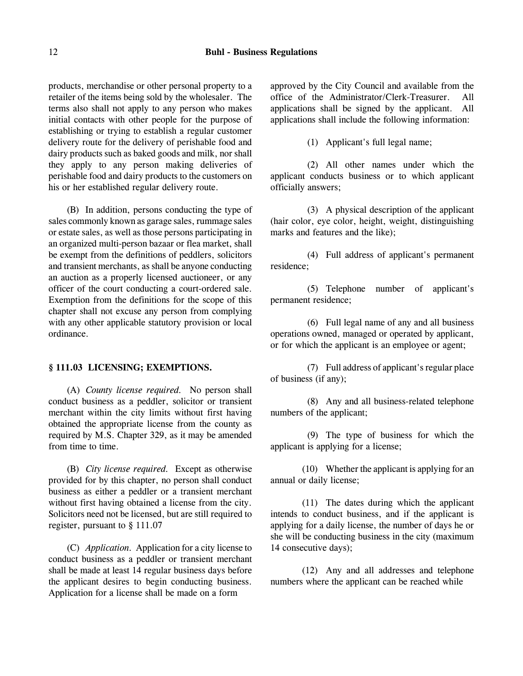products, merchandise or other personal property to a retailer of the items being sold by the wholesaler. The terms also shall not apply to any person who makes initial contacts with other people for the purpose of establishing or trying to establish a regular customer delivery route for the delivery of perishable food and dairy products such as baked goods and milk, nor shall they apply to any person making deliveries of perishable food and dairy products to the customers on his or her established regular delivery route.

(B) In addition, persons conducting the type of sales commonly known as garage sales, rummage sales or estate sales, as well as those persons participating in an organized multi-person bazaar or flea market, shall be exempt from the definitions of peddlers, solicitors and transient merchants, as shall be anyone conducting an auction as a properly licensed auctioneer, or any officer of the court conducting a court-ordered sale. Exemption from the definitions for the scope of this chapter shall not excuse any person from complying with any other applicable statutory provision or local ordinance.

### **§ 111.03 LICENSING; EXEMPTIONS.**

(A) *County license required.* No person shall conduct business as a peddler, solicitor or transient merchant within the city limits without first having obtained the appropriate license from the county as required by M.S. Chapter 329, as it may be amended from time to time.

(B) *City license required.* Except as otherwise provided for by this chapter, no person shall conduct business as either a peddler or a transient merchant without first having obtained a license from the city. Solicitors need not be licensed, but are still required to register, pursuant to § 111.07

(C) *Application.* Application for a city license to conduct business as a peddler or transient merchant shall be made at least 14 regular business days before the applicant desires to begin conducting business. Application for a license shall be made on a form

approved by the City Council and available from the office of the Administrator/Clerk-Treasurer. All applications shall be signed by the applicant. All applications shall include the following information:

(1) Applicant's full legal name;

(2) All other names under which the applicant conducts business or to which applicant officially answers;

(3) A physical description of the applicant (hair color, eye color, height, weight, distinguishing marks and features and the like);

(4) Full address of applicant's permanent residence;

(5) Telephone number of applicant's permanent residence;

(6) Full legal name of any and all business operations owned, managed or operated by applicant, or for which the applicant is an employee or agent;

(7) Full address of applicant's regular place of business (if any);

(8) Any and all business-related telephone numbers of the applicant;

(9) The type of business for which the applicant is applying for a license;

(10) Whether the applicant is applying for an annual or daily license;

(11) The dates during which the applicant intends to conduct business, and if the applicant is applying for a daily license, the number of days he or she will be conducting business in the city (maximum 14 consecutive days);

(12) Any and all addresses and telephone numbers where the applicant can be reached while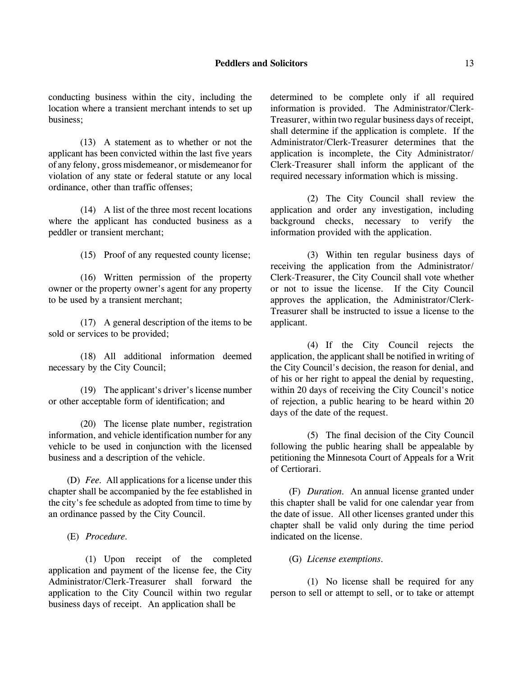conducting business within the city, including the location where a transient merchant intends to set up business;

(13) A statement as to whether or not the applicant has been convicted within the last five years of any felony, gross misdemeanor, or misdemeanor for violation of any state or federal statute or any local ordinance, other than traffic offenses;

(14) A list of the three most recent locations where the applicant has conducted business as a peddler or transient merchant;

(15) Proof of any requested county license;

(16) Written permission of the property owner or the property owner's agent for any property to be used by a transient merchant;

(17) A general description of the items to be sold or services to be provided;

(18) All additional information deemed necessary by the City Council;

(19) The applicant's driver's license number or other acceptable form of identification; and

(20) The license plate number, registration information, and vehicle identification number for any vehicle to be used in conjunction with the licensed business and a description of the vehicle.

(D) *Fee.* All applications for a license under this chapter shall be accompanied by the fee established in the city's fee schedule as adopted from time to time by an ordinance passed by the City Council.

(E) *Procedure.*

(1) Upon receipt of the completed application and payment of the license fee, the City Administrator/Clerk-Treasurer shall forward the application to the City Council within two regular business days of receipt. An application shall be

determined to be complete only if all required information is provided. The Administrator/Clerk-Treasurer, within two regular business days of receipt, shall determine if the application is complete. If the Administrator/Clerk-Treasurer determines that the application is incomplete, the City Administrator/ Clerk-Treasurer shall inform the applicant of the required necessary information which is missing.

(2) The City Council shall review the application and order any investigation, including background checks, necessary to verify the information provided with the application.

(3) Within ten regular business days of receiving the application from the Administrator/ Clerk-Treasurer, the City Council shall vote whether or not to issue the license. If the City Council approves the application, the Administrator/Clerk-Treasurer shall be instructed to issue a license to the applicant.

(4) If the City Council rejects the application, the applicant shall be notified in writing of the City Council's decision, the reason for denial, and of his or her right to appeal the denial by requesting, within 20 days of receiving the City Council's notice of rejection, a public hearing to be heard within 20 days of the date of the request.

(5) The final decision of the City Council following the public hearing shall be appealable by petitioning the Minnesota Court of Appeals for a Writ of Certiorari.

(F) *Duration.* An annual license granted under this chapter shall be valid for one calendar year from the date of issue. All other licenses granted under this chapter shall be valid only during the time period indicated on the license.

(G) *License exemptions.*

(1) No license shall be required for any person to sell or attempt to sell, or to take or attempt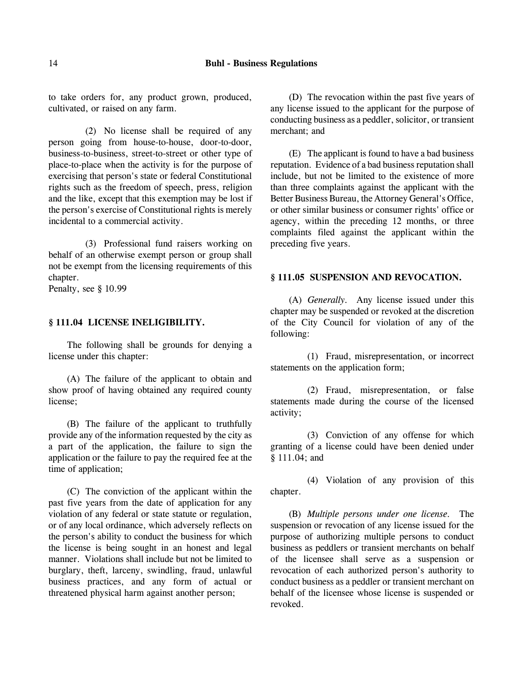to take orders for, any product grown, produced, cultivated, or raised on any farm.

(2) No license shall be required of any person going from house-to-house, door-to-door, business-to-business, street-to-street or other type of place-to-place when the activity is for the purpose of exercising that person's state or federal Constitutional rights such as the freedom of speech, press, religion and the like, except that this exemption may be lost if the person's exercise of Constitutional rights is merely incidental to a commercial activity.

(3) Professional fund raisers working on behalf of an otherwise exempt person or group shall not be exempt from the licensing requirements of this chapter.

Penalty, see § 10.99

### **§ 111.04 LICENSE INELIGIBILITY.**

The following shall be grounds for denying a license under this chapter:

(A) The failure of the applicant to obtain and show proof of having obtained any required county license;

(B) The failure of the applicant to truthfully provide any of the information requested by the city as a part of the application, the failure to sign the application or the failure to pay the required fee at the time of application;

(C) The conviction of the applicant within the past five years from the date of application for any violation of any federal or state statute or regulation, or of any local ordinance, which adversely reflects on the person's ability to conduct the business for which the license is being sought in an honest and legal manner. Violations shall include but not be limited to burglary, theft, larceny, swindling, fraud, unlawful business practices, and any form of actual or threatened physical harm against another person;

(D) The revocation within the past five years of any license issued to the applicant for the purpose of conducting business as a peddler, solicitor, or transient merchant; and

(E) The applicant is found to have a bad business reputation. Evidence of a bad business reputation shall include, but not be limited to the existence of more than three complaints against the applicant with the Better Business Bureau, the Attorney General's Office, or other similar business or consumer rights' office or agency, within the preceding 12 months, or three complaints filed against the applicant within the preceding five years.

# **§ 111.05 SUSPENSION AND REVOCATION.**

(A) *Generally.* Any license issued under this chapter may be suspended or revoked at the discretion of the City Council for violation of any of the following:

(1) Fraud, misrepresentation, or incorrect statements on the application form;

(2) Fraud, misrepresentation, or false statements made during the course of the licensed activity;

(3) Conviction of any offense for which granting of a license could have been denied under § 111.04; and

(4) Violation of any provision of this chapter.

(B) *Multiple persons under one license.* The suspension or revocation of any license issued for the purpose of authorizing multiple persons to conduct business as peddlers or transient merchants on behalf of the licensee shall serve as a suspension or revocation of each authorized person's authority to conduct business as a peddler or transient merchant on behalf of the licensee whose license is suspended or revoked.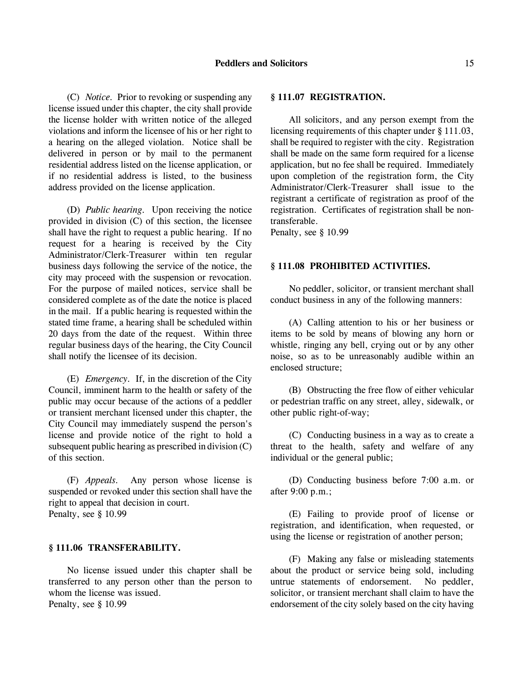(C) *Notice.* Prior to revoking or suspending any license issued under this chapter, the city shall provide the license holder with written notice of the alleged violations and inform the licensee of his or her right to a hearing on the alleged violation. Notice shall be delivered in person or by mail to the permanent residential address listed on the license application, or if no residential address is listed, to the business address provided on the license application.

(D) *Public hearing.* Upon receiving the notice provided in division (C) of this section, the licensee shall have the right to request a public hearing. If no request for a hearing is received by the City Administrator/Clerk-Treasurer within ten regular business days following the service of the notice, the city may proceed with the suspension or revocation. For the purpose of mailed notices, service shall be considered complete as of the date the notice is placed in the mail. If a public hearing is requested within the stated time frame, a hearing shall be scheduled within 20 days from the date of the request. Within three regular business days of the hearing, the City Council shall notify the licensee of its decision.

(E) *Emergency.* If, in the discretion of the City Council, imminent harm to the health or safety of the public may occur because of the actions of a peddler or transient merchant licensed under this chapter, the City Council may immediately suspend the person's license and provide notice of the right to hold a subsequent public hearing as prescribed in division (C) of this section.

(F) *Appeals.* Any person whose license is suspended or revoked under this section shall have the right to appeal that decision in court. Penalty, see § 10.99

### **§ 111.06 TRANSFERABILITY.**

No license issued under this chapter shall be transferred to any person other than the person to whom the license was issued. Penalty, see § 10.99

### **§ 111.07 REGISTRATION.**

All solicitors, and any person exempt from the licensing requirements of this chapter under § 111.03, shall be required to register with the city. Registration shall be made on the same form required for a license application, but no fee shall be required. Immediately upon completion of the registration form, the City Administrator/Clerk-Treasurer shall issue to the registrant a certificate of registration as proof of the registration. Certificates of registration shall be nontransferable.

Penalty, see § 10.99

### **§ 111.08 PROHIBITED ACTIVITIES.**

No peddler, solicitor, or transient merchant shall conduct business in any of the following manners:

(A) Calling attention to his or her business or items to be sold by means of blowing any horn or whistle, ringing any bell, crying out or by any other noise, so as to be unreasonably audible within an enclosed structure;

(B) Obstructing the free flow of either vehicular or pedestrian traffic on any street, alley, sidewalk, or other public right-of-way;

(C) Conducting business in a way as to create a threat to the health, safety and welfare of any individual or the general public;

(D) Conducting business before 7:00 a.m. or after 9:00 p.m.;

(E) Failing to provide proof of license or registration, and identification, when requested, or using the license or registration of another person;

(F) Making any false or misleading statements about the product or service being sold, including untrue statements of endorsement. No peddler, solicitor, or transient merchant shall claim to have the endorsement of the city solely based on the city having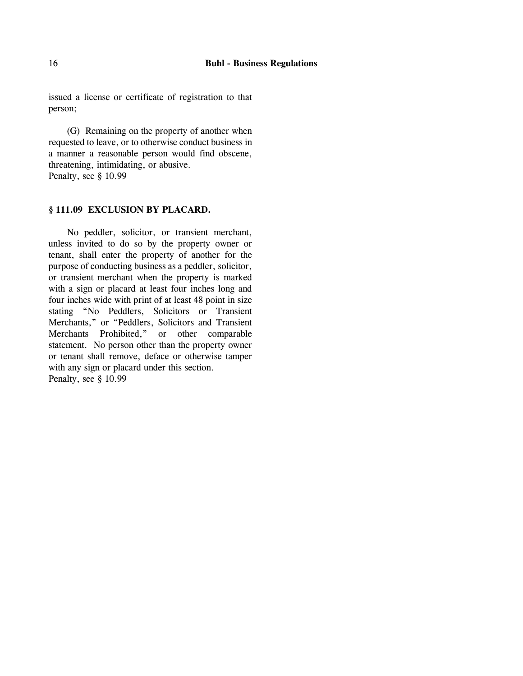issued a license or certificate of registration to that person;

(G) Remaining on the property of another when requested to leave, or to otherwise conduct business in a manner a reasonable person would find obscene, threatening, intimidating, or abusive. Penalty, see § 10.99

### **§ 111.09 EXCLUSION BY PLACARD.**

No peddler, solicitor, or transient merchant, unless invited to do so by the property owner or tenant, shall enter the property of another for the purpose of conducting business as a peddler, solicitor, or transient merchant when the property is marked with a sign or placard at least four inches long and four inches wide with print of at least 48 point in size stating "No Peddlers, Solicitors or Transient Merchants," or "Peddlers, Solicitors and Transient Merchants Prohibited," or other comparable statement. No person other than the property owner or tenant shall remove, deface or otherwise tamper with any sign or placard under this section. Penalty, see § 10.99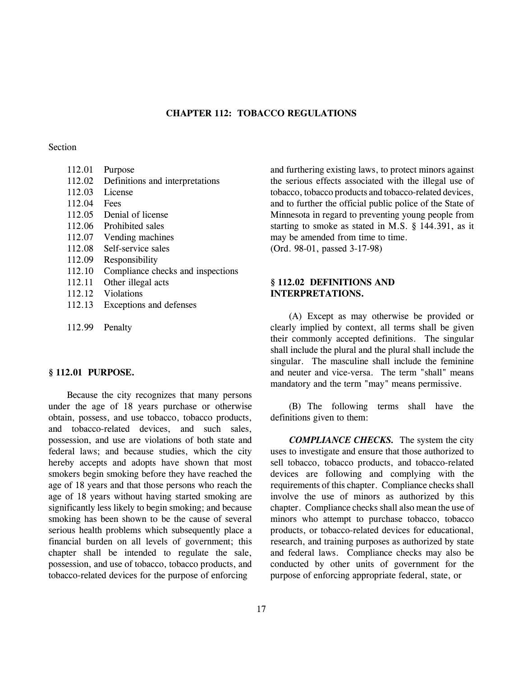# **CHAPTER 112: TOBACCO REGULATIONS**

#### Section

| 112.01 | Purpose                           |
|--------|-----------------------------------|
| 112.02 | Definitions and interpretations   |
| 112.03 | License                           |
| 112.04 | Fees                              |
| 112.05 | Denial of license                 |
| 112.06 | Prohibited sales                  |
| 112.07 | Vending machines                  |
| 112.08 | Self-service sales                |
| 112.09 | Responsibility                    |
| 112.10 | Compliance checks and inspections |
| 112.11 | Other illegal acts                |
| 112.12 | <b>Violations</b>                 |
| 112.13 | Exceptions and defenses           |
|        |                                   |

112.99 Penalty

### **§ 112.01 PURPOSE.**

Because the city recognizes that many persons under the age of 18 years purchase or otherwise obtain, possess, and use tobacco, tobacco products, and tobacco-related devices, and such sales, possession, and use are violations of both state and federal laws; and because studies, which the city hereby accepts and adopts have shown that most smokers begin smoking before they have reached the age of 18 years and that those persons who reach the age of 18 years without having started smoking are significantly less likely to begin smoking; and because smoking has been shown to be the cause of several serious health problems which subsequently place a financial burden on all levels of government; this chapter shall be intended to regulate the sale, possession, and use of tobacco, tobacco products, and tobacco-related devices for the purpose of enforcing

and furthering existing laws, to protect minors against the serious effects associated with the illegal use of tobacco, tobacco products and tobacco-related devices, and to further the official public police of the State of Minnesota in regard to preventing young people from starting to smoke as stated in M.S. § 144.391, as it may be amended from time to time. (Ord. 98-01, passed 3-17-98)

# **§ 112.02 DEFINITIONS AND INTERPRETATIONS.**

(A) Except as may otherwise be provided or clearly implied by context, all terms shall be given their commonly accepted definitions. The singular shall include the plural and the plural shall include the singular. The masculine shall include the feminine and neuter and vice-versa. The term "shall" means mandatory and the term "may" means permissive.

(B) The following terms shall have the definitions given to them:

*COMPLIANCE CHECKS.* The system the city uses to investigate and ensure that those authorized to sell tobacco, tobacco products, and tobacco-related devices are following and complying with the requirements of this chapter. Compliance checks shall involve the use of minors as authorized by this chapter. Compliance checks shall also mean the use of minors who attempt to purchase tobacco, tobacco products, or tobacco-related devices for educational, research, and training purposes as authorized by state and federal laws. Compliance checks may also be conducted by other units of government for the purpose of enforcing appropriate federal, state, or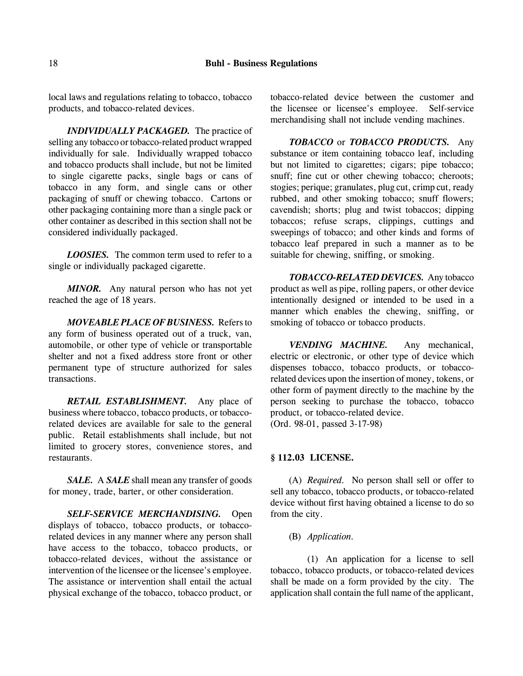local laws and regulations relating to tobacco, tobacco products, and tobacco-related devices.

*INDIVIDUALLY PACKAGED.* The practice of selling any tobacco or tobacco-related product wrapped individually for sale. Individually wrapped tobacco and tobacco products shall include, but not be limited to single cigarette packs, single bags or cans of tobacco in any form, and single cans or other packaging of snuff or chewing tobacco. Cartons or other packaging containing more than a single pack or other container as described in this section shall not be considered individually packaged.

*LOOSIES.* The common term used to refer to a single or individually packaged cigarette.

*MINOR.* Any natural person who has not yet reached the age of 18 years.

*MOVEABLE PLACE OF BUSINESS.* Refers to any form of business operated out of a truck, van, automobile, or other type of vehicle or transportable shelter and not a fixed address store front or other permanent type of structure authorized for sales transactions.

*RETAIL ESTABLISHMENT.* Any place of business where tobacco, tobacco products, or tobaccorelated devices are available for sale to the general public. Retail establishments shall include, but not limited to grocery stores, convenience stores, and restaurants.

*SALE.* A *SALE* shall mean any transfer of goods for money, trade, barter, or other consideration.

*SELF-SERVICE MERCHANDISING.* Open displays of tobacco, tobacco products, or tobaccorelated devices in any manner where any person shall have access to the tobacco, tobacco products, or tobacco-related devices, without the assistance or intervention of the licensee or the licensee's employee. The assistance or intervention shall entail the actual physical exchange of the tobacco, tobacco product, or

tobacco-related device between the customer and the licensee or licensee's employee. Self-service merchandising shall not include vending machines.

*TOBACCO* or *TOBACCO PRODUCTS.* Any substance or item containing tobacco leaf, including but not limited to cigarettes; cigars; pipe tobacco; snuff; fine cut or other chewing tobacco; cheroots; stogies; perique; granulates, plug cut, crimp cut, ready rubbed, and other smoking tobacco; snuff flowers; cavendish; shorts; plug and twist tobaccos; dipping tobaccos; refuse scraps, clippings, cuttings and sweepings of tobacco; and other kinds and forms of tobacco leaf prepared in such a manner as to be suitable for chewing, sniffing, or smoking.

*TOBACCO-RELATED DEVICES.* Any tobacco product as well as pipe, rolling papers, or other device intentionally designed or intended to be used in a manner which enables the chewing, sniffing, or smoking of tobacco or tobacco products.

*VENDING MACHINE.* Any mechanical, electric or electronic, or other type of device which dispenses tobacco, tobacco products, or tobaccorelated devices upon the insertion of money, tokens, or other form of payment directly to the machine by the person seeking to purchase the tobacco, tobacco product, or tobacco-related device. (Ord. 98-01, passed 3-17-98)

## **§ 112.03 LICENSE.**

(A) *Required.* No person shall sell or offer to sell any tobacco, tobacco products, or tobacco-related device without first having obtained a license to do so from the city.

### (B) *Application.*

(1) An application for a license to sell tobacco, tobacco products, or tobacco-related devices shall be made on a form provided by the city. The application shall contain the full name of the applicant,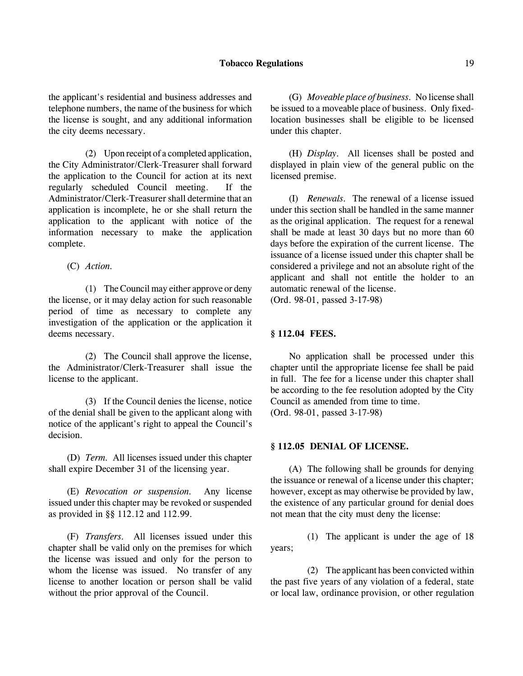### **Tobacco Regulations** 19

the applicant's residential and business addresses and telephone numbers, the name of the business for which the license is sought, and any additional information the city deems necessary.

(2) Upon receipt of a completed application, the City Administrator/Clerk-Treasurer shall forward the application to the Council for action at its next regularly scheduled Council meeting. If the Administrator/Clerk-Treasurer shall determine that an application is incomplete, he or she shall return the application to the applicant with notice of the information necessary to make the application complete.

(C) *Action.*

(1) The Council may either approve or deny the license, or it may delay action for such reasonable period of time as necessary to complete any investigation of the application or the application it deems necessary.

(2) The Council shall approve the license, the Administrator/Clerk-Treasurer shall issue the license to the applicant.

(3) If the Council denies the license, notice of the denial shall be given to the applicant along with notice of the applicant's right to appeal the Council's decision.

(D) *Term.* All licenses issued under this chapter shall expire December 31 of the licensing year.

(E) *Revocation or suspension.* Any license issued under this chapter may be revoked or suspended as provided in §§ 112.12 and 112.99.

(F) *Transfers.* All licenses issued under this chapter shall be valid only on the premises for which the license was issued and only for the person to whom the license was issued. No transfer of any license to another location or person shall be valid without the prior approval of the Council.

(G) *Moveable place of business.* No license shall be issued to a moveable place of business. Only fixedlocation businesses shall be eligible to be licensed under this chapter.

(H) *Display.* All licenses shall be posted and displayed in plain view of the general public on the licensed premise.

(I) *Renewals.* The renewal of a license issued under this section shall be handled in the same manner as the original application. The request for a renewal shall be made at least 30 days but no more than 60 days before the expiration of the current license. The issuance of a license issued under this chapter shall be considered a privilege and not an absolute right of the applicant and shall not entitle the holder to an automatic renewal of the license. (Ord. 98-01, passed 3-17-98)

### **§ 112.04 FEES.**

No application shall be processed under this chapter until the appropriate license fee shall be paid in full. The fee for a license under this chapter shall be according to the fee resolution adopted by the City Council as amended from time to time. (Ord. 98-01, passed 3-17-98)

#### **§ 112.05 DENIAL OF LICENSE.**

(A) The following shall be grounds for denying the issuance or renewal of a license under this chapter; however, except as may otherwise be provided by law, the existence of any particular ground for denial does not mean that the city must deny the license:

(1) The applicant is under the age of 18 years;

(2) The applicant has been convicted within the past five years of any violation of a federal, state or local law, ordinance provision, or other regulation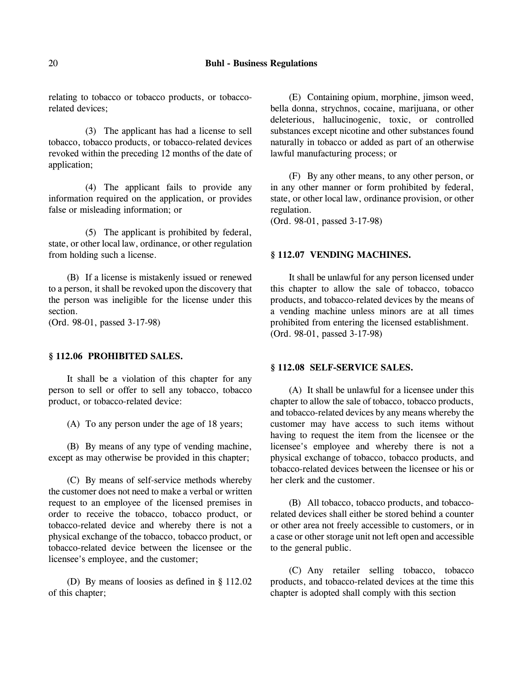### 20 **Buhl - Business Regulations**

relating to tobacco or tobacco products, or tobaccorelated devices;

(3) The applicant has had a license to sell tobacco, tobacco products, or tobacco-related devices revoked within the preceding 12 months of the date of application;

(4) The applicant fails to provide any information required on the application, or provides false or misleading information; or

(5) The applicant is prohibited by federal, state, or other local law, ordinance, or other regulation from holding such a license.

(B) If a license is mistakenly issued or renewed to a person, it shall be revoked upon the discovery that the person was ineligible for the license under this section.

(Ord. 98-01, passed 3-17-98)

## **§ 112.06 PROHIBITED SALES.**

It shall be a violation of this chapter for any person to sell or offer to sell any tobacco, tobacco product, or tobacco-related device:

(A) To any person under the age of 18 years;

(B) By means of any type of vending machine, except as may otherwise be provided in this chapter;

(C) By means of self-service methods whereby the customer does not need to make a verbal or written request to an employee of the licensed premises in order to receive the tobacco, tobacco product, or tobacco-related device and whereby there is not a physical exchange of the tobacco, tobacco product, or tobacco-related device between the licensee or the licensee's employee, and the customer;

(D) By means of loosies as defined in § 112.02 of this chapter;

(E) Containing opium, morphine, jimson weed, bella donna, strychnos, cocaine, marijuana, or other deleterious, hallucinogenic, toxic, or controlled substances except nicotine and other substances found naturally in tobacco or added as part of an otherwise lawful manufacturing process; or

(F) By any other means, to any other person, or in any other manner or form prohibited by federal, state, or other local law, ordinance provision, or other regulation.

(Ord. 98-01, passed 3-17-98)

#### **§ 112.07 VENDING MACHINES.**

It shall be unlawful for any person licensed under this chapter to allow the sale of tobacco, tobacco products, and tobacco-related devices by the means of a vending machine unless minors are at all times prohibited from entering the licensed establishment. (Ord. 98-01, passed 3-17-98)

#### **§ 112.08 SELF-SERVICE SALES.**

(A) It shall be unlawful for a licensee under this chapter to allow the sale of tobacco, tobacco products, and tobacco-related devices by any means whereby the customer may have access to such items without having to request the item from the licensee or the licensee's employee and whereby there is not a physical exchange of tobacco, tobacco products, and tobacco-related devices between the licensee or his or her clerk and the customer.

(B) All tobacco, tobacco products, and tobaccorelated devices shall either be stored behind a counter or other area not freely accessible to customers, or in a case or other storage unit not left open and accessible to the general public.

(C) Any retailer selling tobacco, tobacco products, and tobacco-related devices at the time this chapter is adopted shall comply with this section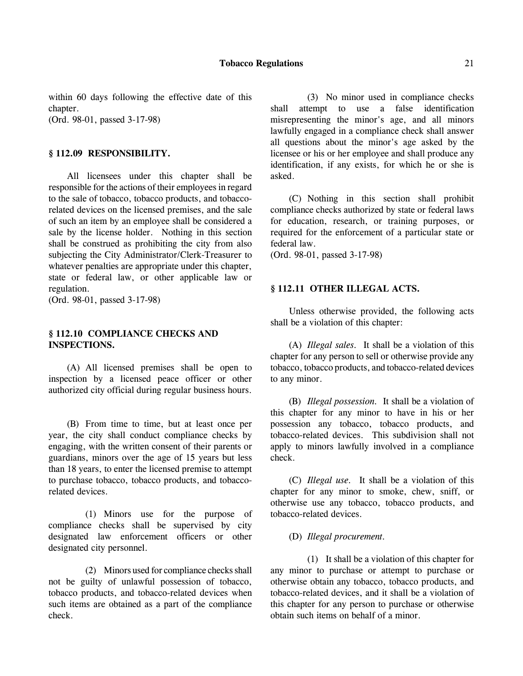within 60 days following the effective date of this chapter. (Ord. 98-01, passed 3-17-98)

### **§ 112.09 RESPONSIBILITY.**

All licensees under this chapter shall be responsible for the actions of their employees in regard to the sale of tobacco, tobacco products, and tobaccorelated devices on the licensed premises, and the sale of such an item by an employee shall be considered a sale by the license holder. Nothing in this section shall be construed as prohibiting the city from also subjecting the City Administrator/Clerk-Treasurer to whatever penalties are appropriate under this chapter, state or federal law, or other applicable law or regulation.

(Ord. 98-01, passed 3-17-98)

# **§ 112.10 COMPLIANCE CHECKS AND INSPECTIONS.**

(A) All licensed premises shall be open to inspection by a licensed peace officer or other authorized city official during regular business hours.

(B) From time to time, but at least once per year, the city shall conduct compliance checks by engaging, with the written consent of their parents or guardians, minors over the age of 15 years but less than 18 years, to enter the licensed premise to attempt to purchase tobacco, tobacco products, and tobaccorelated devices.

(1) Minors use for the purpose of compliance checks shall be supervised by city designated law enforcement officers or other designated city personnel.

(2) Minors used for compliance checks shall not be guilty of unlawful possession of tobacco, tobacco products, and tobacco-related devices when such items are obtained as a part of the compliance check.

(3) No minor used in compliance checks shall attempt to use a false identification misrepresenting the minor's age, and all minors lawfully engaged in a compliance check shall answer all questions about the minor's age asked by the licensee or his or her employee and shall produce any identification, if any exists, for which he or she is asked.

(C) Nothing in this section shall prohibit compliance checks authorized by state or federal laws for education, research, or training purposes, or required for the enforcement of a particular state or federal law.

(Ord. 98-01, passed 3-17-98)

## **§ 112.11 OTHER ILLEGAL ACTS.**

Unless otherwise provided, the following acts shall be a violation of this chapter:

(A) *Illegal sales.* It shall be a violation of this chapter for any person to sell or otherwise provide any tobacco, tobacco products, and tobacco-related devices to any minor.

(B) *Illegal possession.* It shall be a violation of this chapter for any minor to have in his or her possession any tobacco, tobacco products, and tobacco-related devices. This subdivision shall not apply to minors lawfully involved in a compliance check.

(C) *Illegal use.* It shall be a violation of this chapter for any minor to smoke, chew, sniff, or otherwise use any tobacco, tobacco products, and tobacco-related devices.

(D) *Illegal procurement.*

(1) It shall be a violation of this chapter for any minor to purchase or attempt to purchase or otherwise obtain any tobacco, tobacco products, and tobacco-related devices, and it shall be a violation of this chapter for any person to purchase or otherwise obtain such items on behalf of a minor.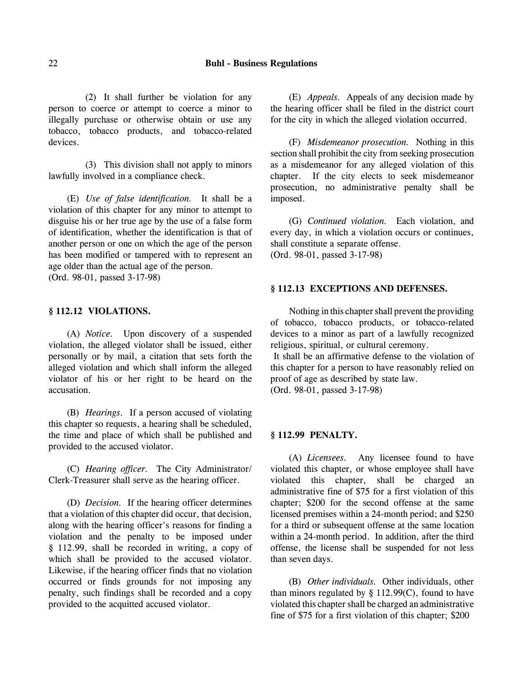(2) It shall further be violation for any person to coerce or attempt to coerce a minor to illegally purchase or otherwise obtain or use any tobacco, tobacco products, and tobacco-related devices.

(3) This division shall not apply to minors lawfully involved in a compliance check.

(E) *Use of false identification.* It shall be a violation of this chapter for any minor to attempt to disguise his or her true age by the use of a false form of identification, whether the identification is that of another person or one on which the age of the person has been modified or tampered with to represent an age older than the actual age of the person. (Ord. 98-01, passed 3-17-98)

## **§ 112.12 VIOLATIONS.**

(A) *Notice.* Upon discovery of a suspended violation, the alleged violator shall be issued, either personally or by mail, a citation that sets forth the alleged violation and which shall inform the alleged violator of his or her right to be heard on the accusation.

(B) *Hearings.* If a person accused of violating this chapter so requests, a hearing shall be scheduled, the time and place of which shall be published and provided to the accused violator.

(C) *Hearing officer.* The City Administrator/ Clerk-Treasurer shall serve as the hearing officer.

(D) *Decision.* If the hearing officer determines that a violation of this chapter did occur, that decision, along with the hearing officer's reasons for finding a violation and the penalty to be imposed under § 112.99, shall be recorded in writing, a copy of which shall be provided to the accused violator. Likewise, if the hearing officer finds that no violation occurred or finds grounds for not imposing any penalty, such findings shall be recorded and a copy provided to the acquitted accused violator.

(E) *Appeals.* Appeals of any decision made by the hearing officer shall be filed in the district court for the city in which the alleged violation occurred.

(F) *Misdemeanor prosecution.* Nothing in this section shall prohibit the city from seeking prosecution as a misdemeanor for any alleged violation of this chapter. If the city elects to seek misdemeanor prosecution, no administrative penalty shall be imposed.

(G) *Continued violation.* Each violation, and every day, in which a violation occurs or continues, shall constitute a separate offense. (Ord. 98-01, passed 3-17-98)

## **§ 112.13 EXCEPTIONS AND DEFENSES.**

Nothing in this chapter shall prevent the providing of tobacco, tobacco products, or tobacco-related devices to a minor as part of a lawfully recognized religious, spiritual, or cultural ceremony.

 It shall be an affirmative defense to the violation of this chapter for a person to have reasonably relied on proof of age as described by state law. (Ord. 98-01, passed 3-17-98)

### **§ 112.99 PENALTY.**

(A) *Licensees.* Any licensee found to have violated this chapter, or whose employee shall have violated this chapter, shall be charged an administrative fine of \$75 for a first violation of this chapter; \$200 for the second offense at the same licensed premises within a 24-month period; and \$250 for a third or subsequent offense at the same location within a 24-month period. In addition, after the third offense, the license shall be suspended for not less than seven days.

(B) *Other individuals.* Other individuals, other than minors regulated by  $\S$  112.99(C), found to have violated this chapter shall be charged an administrative fine of \$75 for a first violation of this chapter; \$200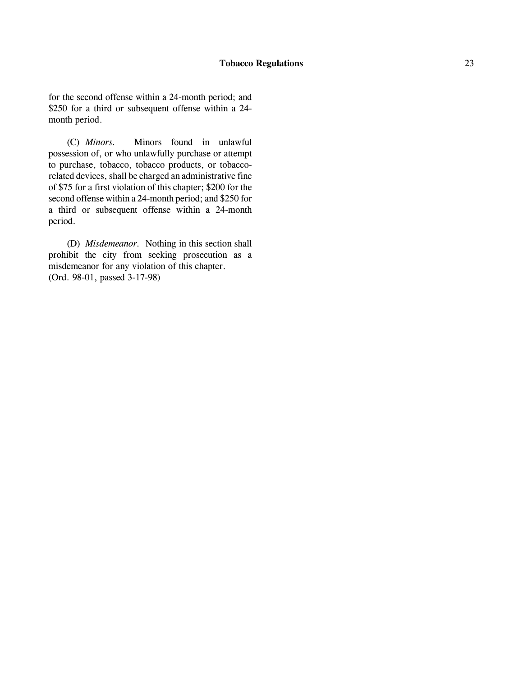for the second offense within a 24-month period; and \$250 for a third or subsequent offense within a 24 month period.

(C) *Minors.* Minors found in unlawful possession of, or who unlawfully purchase or attempt to purchase, tobacco, tobacco products, or tobaccorelated devices, shall be charged an administrative fine of \$75 for a first violation of this chapter; \$200 for the second offense within a 24-month period; and \$250 for a third or subsequent offense within a 24-month period.

(D) *Misdemeanor.* Nothing in this section shall prohibit the city from seeking prosecution as a misdemeanor for any violation of this chapter. (Ord. 98-01, passed 3-17-98)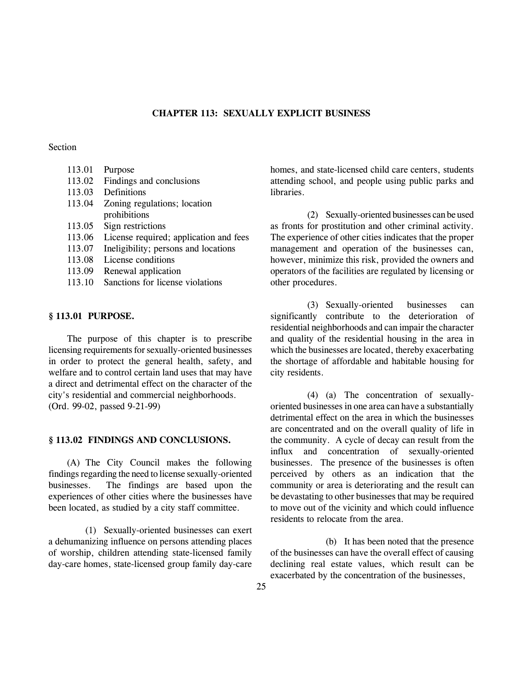# **CHAPTER 113: SEXUALLY EXPLICIT BUSINESS**

## Section

| 113.01 | Purpose                                |
|--------|----------------------------------------|
| 113.02 | Findings and conclusions               |
| 113.03 | Definitions                            |
| 113.04 | Zoning regulations; location           |
|        | prohibitions                           |
| 113.05 | Sign restrictions                      |
| 113.06 | License required; application and fees |
| 113.07 | Ineligibility; persons and locations   |
| 113.08 | License conditions                     |
| 113.09 | Renewal application                    |
| 113.10 | Sanctions for license violations       |

## **§ 113.01 PURPOSE.**

The purpose of this chapter is to prescribe licensing requirements for sexually-oriented businesses in order to protect the general health, safety, and welfare and to control certain land uses that may have a direct and detrimental effect on the character of the city's residential and commercial neighborhoods. (Ord. 99-02, passed 9-21-99)

#### **§ 113.02 FINDINGS AND CONCLUSIONS.**

(A) The City Council makes the following findings regarding the need to license sexually-oriented businesses. The findings are based upon the experiences of other cities where the businesses have been located, as studied by a city staff committee.

(1) Sexually-oriented businesses can exert a dehumanizing influence on persons attending places of worship, children attending state-licensed family day-care homes, state-licensed group family day-care

homes, and state-licensed child care centers, students attending school, and people using public parks and **libraries** 

(2) Sexually-oriented businesses can be used as fronts for prostitution and other criminal activity. The experience of other cities indicates that the proper management and operation of the businesses can, however, minimize this risk, provided the owners and operators of the facilities are regulated by licensing or other procedures.

(3) Sexually-oriented businesses can significantly contribute to the deterioration of residential neighborhoods and can impair the character and quality of the residential housing in the area in which the businesses are located, thereby exacerbating the shortage of affordable and habitable housing for city residents.

(4) (a) The concentration of sexuallyoriented businesses in one area can have a substantially detrimental effect on the area in which the businesses are concentrated and on the overall quality of life in the community. A cycle of decay can result from the influx and concentration of sexually-oriented businesses. The presence of the businesses is often perceived by others as an indication that the community or area is deteriorating and the result can be devastating to other businesses that may be required to move out of the vicinity and which could influence residents to relocate from the area.

(b) It has been noted that the presence of the businesses can have the overall effect of causing declining real estate values, which result can be exacerbated by the concentration of the businesses,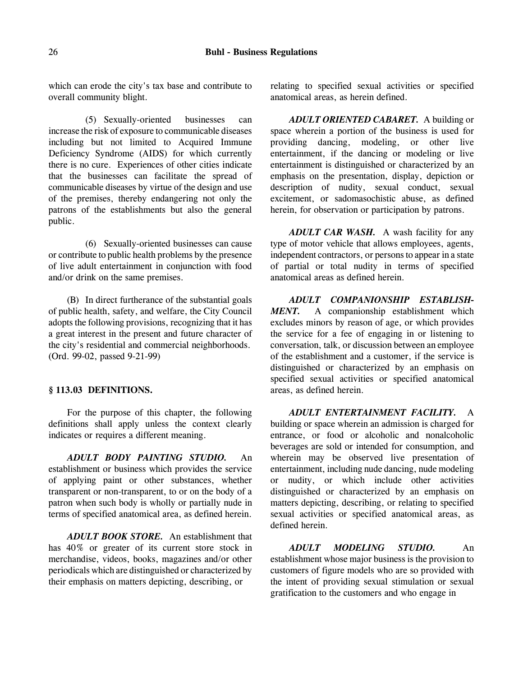which can erode the city's tax base and contribute to overall community blight.

(5) Sexually-oriented businesses can increase the risk of exposure to communicable diseases including but not limited to Acquired Immune Deficiency Syndrome (AIDS) for which currently there is no cure. Experiences of other cities indicate that the businesses can facilitate the spread of communicable diseases by virtue of the design and use of the premises, thereby endangering not only the patrons of the establishments but also the general public.

(6) Sexually-oriented businesses can cause or contribute to public health problems by the presence of live adult entertainment in conjunction with food and/or drink on the same premises.

(B) In direct furtherance of the substantial goals of public health, safety, and welfare, the City Council adopts the following provisions, recognizing that it has a great interest in the present and future character of the city's residential and commercial neighborhoods. (Ord. 99-02, passed 9-21-99)

# **§ 113.03 DEFINITIONS.**

For the purpose of this chapter, the following definitions shall apply unless the context clearly indicates or requires a different meaning.

*ADULT BODY PAINTING STUDIO.* An establishment or business which provides the service of applying paint or other substances, whether transparent or non-transparent, to or on the body of a patron when such body is wholly or partially nude in terms of specified anatomical area, as defined herein.

*ADULT BOOK STORE.* An establishment that has 40% or greater of its current store stock in merchandise, videos, books, magazines and/or other periodicals which are distinguished or characterized by their emphasis on matters depicting, describing, or

relating to specified sexual activities or specified anatomical areas, as herein defined.

*ADULT ORIENTED CABARET.* A building or space wherein a portion of the business is used for providing dancing, modeling, or other live entertainment, if the dancing or modeling or live entertainment is distinguished or characterized by an emphasis on the presentation, display, depiction or description of nudity, sexual conduct, sexual excitement, or sadomasochistic abuse, as defined herein, for observation or participation by patrons.

*ADULT CAR WASH.* A wash facility for any type of motor vehicle that allows employees, agents, independent contractors, or persons to appear in a state of partial or total nudity in terms of specified anatomical areas as defined herein.

*ADULT COMPANIONSHIP ESTABLISH-MENT.* A companionship establishment which excludes minors by reason of age, or which provides the service for a fee of engaging in or listening to conversation, talk, or discussion between an employee of the establishment and a customer, if the service is distinguished or characterized by an emphasis on specified sexual activities or specified anatomical areas, as defined herein.

*ADULT ENTERTAINMENT FACILITY.* A building or space wherein an admission is charged for entrance, or food or alcoholic and nonalcoholic beverages are sold or intended for consumption, and wherein may be observed live presentation of entertainment, including nude dancing, nude modeling or nudity, or which include other activities distinguished or characterized by an emphasis on matters depicting, describing, or relating to specified sexual activities or specified anatomical areas, as defined herein.

*ADULT MODELING STUDIO.* An establishment whose major business is the provision to customers of figure models who are so provided with the intent of providing sexual stimulation or sexual gratification to the customers and who engage in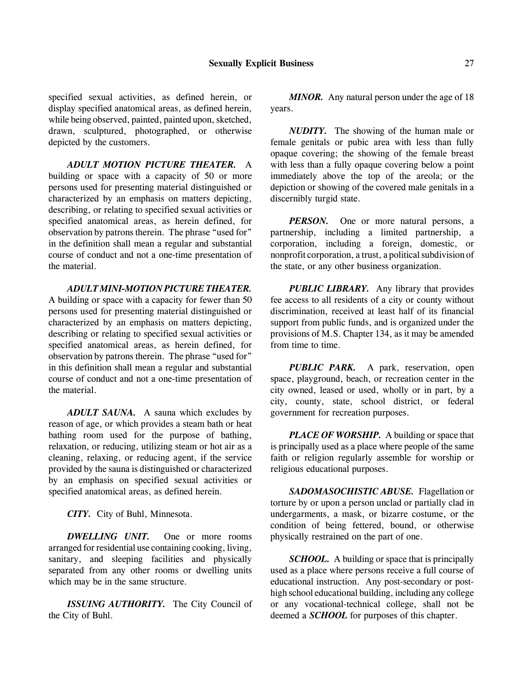specified sexual activities, as defined herein, or display specified anatomical areas, as defined herein, while being observed, painted, painted upon, sketched, drawn, sculptured, photographed, or otherwise depicted by the customers.

*ADULT MOTION PICTURE THEATER.* A building or space with a capacity of 50 or more persons used for presenting material distinguished or characterized by an emphasis on matters depicting, describing, or relating to specified sexual activities or specified anatomical areas, as herein defined, for observation by patrons therein. The phrase "used for" in the definition shall mean a regular and substantial course of conduct and not a one-time presentation of the material.

*ADULT MINI-MOTION PICTURE THEATER.*

A building or space with a capacity for fewer than 50 persons used for presenting material distinguished or characterized by an emphasis on matters depicting, describing or relating to specified sexual activities or specified anatomical areas, as herein defined, for observation by patrons therein. The phrase "used for" in this definition shall mean a regular and substantial course of conduct and not a one-time presentation of the material.

*ADULT SAUNA.* A sauna which excludes by reason of age, or which provides a steam bath or heat bathing room used for the purpose of bathing, relaxation, or reducing, utilizing steam or hot air as a cleaning, relaxing, or reducing agent, if the service provided by the sauna is distinguished or characterized by an emphasis on specified sexual activities or specified anatomical areas, as defined herein.

*CITY.* City of Buhl, Minnesota.

*DWELLING UNIT.* One or more rooms arranged for residential use containing cooking, living, sanitary, and sleeping facilities and physically separated from any other rooms or dwelling units which may be in the same structure.

*ISSUING AUTHORITY.* The City Council of the City of Buhl.

*MINOR.* Any natural person under the age of 18 years.

*NUDITY.* The showing of the human male or female genitals or pubic area with less than fully opaque covering; the showing of the female breast with less than a fully opaque covering below a point immediately above the top of the areola; or the depiction or showing of the covered male genitals in a discernibly turgid state.

*PERSON*. One or more natural persons, a partnership, including a limited partnership, a corporation, including a foreign, domestic, or nonprofit corporation, a trust, a political subdivision of the state, or any other business organization.

*PUBLIC LIBRARY.* Any library that provides fee access to all residents of a city or county without discrimination, received at least half of its financial support from public funds, and is organized under the provisions of M.S. Chapter 134, as it may be amended from time to time.

*PUBLIC PARK.* A park, reservation, open space, playground, beach, or recreation center in the city owned, leased or used, wholly or in part, by a city, county, state, school district, or federal government for recreation purposes.

*PLACE OF WORSHIP.* A building or space that is principally used as a place where people of the same faith or religion regularly assemble for worship or religious educational purposes.

*SADOMASOCHISTIC ABUSE.* Flagellation or torture by or upon a person unclad or partially clad in undergarments, a mask, or bizarre costume, or the condition of being fettered, bound, or otherwise physically restrained on the part of one.

*SCHOOL.* A building or space that is principally used as a place where persons receive a full course of educational instruction. Any post-secondary or posthigh school educational building, including any college or any vocational-technical college, shall not be deemed a *SCHOOL* for purposes of this chapter.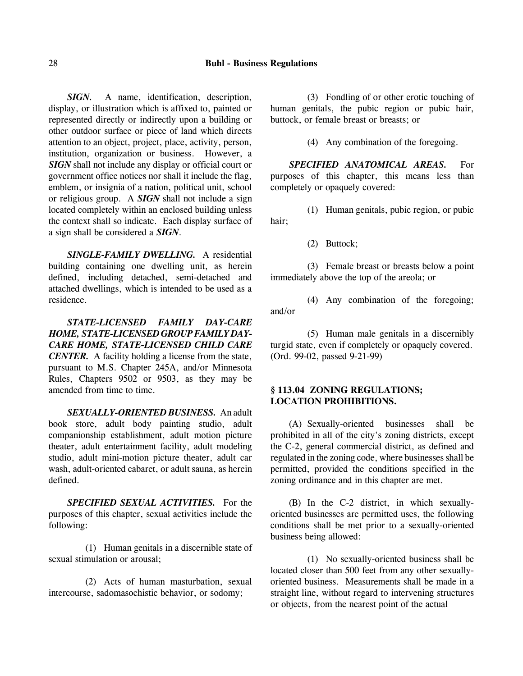*SIGN.* A name, identification, description, display, or illustration which is affixed to, painted or represented directly or indirectly upon a building or other outdoor surface or piece of land which directs attention to an object, project, place, activity, person, institution, organization or business. However, a *SIGN* shall not include any display or official court or government office notices nor shall it include the flag, emblem, or insignia of a nation, political unit, school or religious group. A *SIGN* shall not include a sign located completely within an enclosed building unless the context shall so indicate. Each display surface of a sign shall be considered a *SIGN*.

*SINGLE-FAMILY DWELLING.* A residential building containing one dwelling unit, as herein defined, including detached, semi-detached and attached dwellings, which is intended to be used as a residence.

*STATE-LICENSED FAMILY DAY-CARE HOME, STATE-LICENSED GROUP FAMILY DAY-CARE HOME, STATE-LICENSED CHILD CARE CENTER.* A facility holding a license from the state, pursuant to M.S. Chapter 245A, and/or Minnesota Rules, Chapters 9502 or 9503, as they may be amended from time to time.

*SEXUALLY-ORIENTED BUSINESS.* An adult book store, adult body painting studio, adult companionship establishment, adult motion picture theater, adult entertainment facility, adult modeling studio, adult mini-motion picture theater, adult car wash, adult-oriented cabaret, or adult sauna, as herein defined.

*SPECIFIED SEXUAL ACTIVITIES.* For the purposes of this chapter, sexual activities include the following:

(1) Human genitals in a discernible state of sexual stimulation or arousal;

(2) Acts of human masturbation, sexual intercourse, sadomasochistic behavior, or sodomy;

(3) Fondling of or other erotic touching of human genitals, the pubic region or pubic hair, buttock, or female breast or breasts; or

(4) Any combination of the foregoing.

*SPECIFIED ANATOMICAL AREAS.* For purposes of this chapter, this means less than completely or opaquely covered:

(1) Human genitals, pubic region, or pubic hair;

(2) Buttock;

(3) Female breast or breasts below a point immediately above the top of the areola; or

(4) Any combination of the foregoing; and/or

(5) Human male genitals in a discernibly turgid state, even if completely or opaquely covered. (Ord. 99-02, passed 9-21-99)

# **§ 113.04 ZONING REGULATIONS; LOCATION PROHIBITIONS.**

(A) Sexually-oriented businesses shall be prohibited in all of the city's zoning districts, except the C-2, general commercial district, as defined and regulated in the zoning code, where businesses shall be permitted, provided the conditions specified in the zoning ordinance and in this chapter are met.

(B) In the C-2 district, in which sexuallyoriented businesses are permitted uses, the following conditions shall be met prior to a sexually-oriented business being allowed:

(1) No sexually-oriented business shall be located closer than 500 feet from any other sexuallyoriented business. Measurements shall be made in a straight line, without regard to intervening structures or objects, from the nearest point of the actual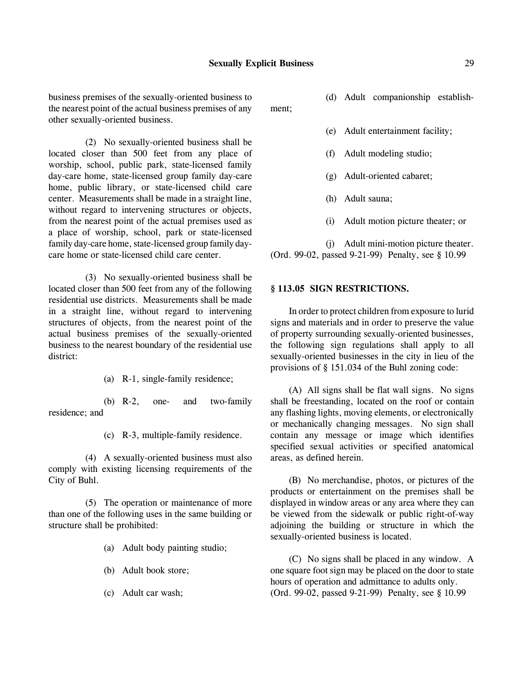business premises of the sexually-oriented business to the nearest point of the actual business premises of any other sexually-oriented business.

ment;

(2) No sexually-oriented business shall be located closer than 500 feet from any place of worship, school, public park, state-licensed family day-care home, state-licensed group family day-care home, public library, or state-licensed child care center. Measurements shall be made in a straight line, without regard to intervening structures or objects, from the nearest point of the actual premises used as a place of worship, school, park or state-licensed family day-care home, state-licensed group family daycare home or state-licensed child care center.

(3) No sexually-oriented business shall be located closer than 500 feet from any of the following residential use districts. Measurements shall be made in a straight line, without regard to intervening structures of objects, from the nearest point of the actual business premises of the sexually-oriented business to the nearest boundary of the residential use district:

(a) R-1, single-family residence;

(b) R-2, one- and two-family residence; and

(c) R-3, multiple-family residence.

(4) A sexually-oriented business must also comply with existing licensing requirements of the City of Buhl.

(5) The operation or maintenance of more than one of the following uses in the same building or structure shall be prohibited:

- (a) Adult body painting studio;
- (b) Adult book store;
- (c) Adult car wash;

(d) Adult companionship establish-

- (e) Adult entertainment facility;
- (f) Adult modeling studio;
- (g) Adult-oriented cabaret;
- (h) Adult sauna;
- (i) Adult motion picture theater; or

(j) Adult mini-motion picture theater. (Ord. 99-02, passed 9-21-99) Penalty, see § 10.99

## **§ 113.05 SIGN RESTRICTIONS.**

In order to protect children from exposure to lurid signs and materials and in order to preserve the value of property surrounding sexually-oriented businesses, the following sign regulations shall apply to all sexually-oriented businesses in the city in lieu of the provisions of § 151.034 of the Buhl zoning code:

(A) All signs shall be flat wall signs. No signs shall be freestanding, located on the roof or contain any flashing lights, moving elements, or electronically or mechanically changing messages. No sign shall contain any message or image which identifies specified sexual activities or specified anatomical areas, as defined herein.

(B) No merchandise, photos, or pictures of the products or entertainment on the premises shall be displayed in window areas or any area where they can be viewed from the sidewalk or public right-of-way adjoining the building or structure in which the sexually-oriented business is located.

(C) No signs shall be placed in any window. A one square foot sign may be placed on the door to state hours of operation and admittance to adults only. (Ord. 99-02, passed 9-21-99) Penalty, see § 10.99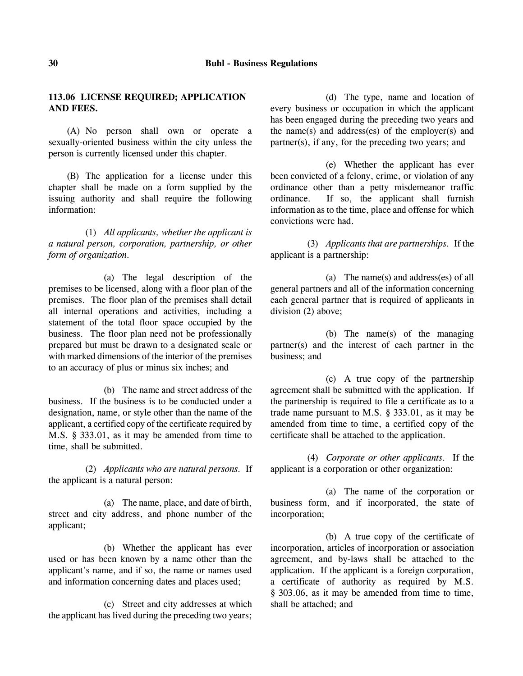# **113.06 LICENSE REQUIRED; APPLICATION AND FEES.**

(A) No person shall own or operate a sexually-oriented business within the city unless the person is currently licensed under this chapter.

(B) The application for a license under this chapter shall be made on a form supplied by the issuing authority and shall require the following information:

(1) *All applicants, whether the applicant is a natural person, corporation, partnership, or other form of organization.*

(a) The legal description of the premises to be licensed, along with a floor plan of the premises. The floor plan of the premises shall detail all internal operations and activities, including a statement of the total floor space occupied by the business. The floor plan need not be professionally prepared but must be drawn to a designated scale or with marked dimensions of the interior of the premises to an accuracy of plus or minus six inches; and

(b) The name and street address of the business. If the business is to be conducted under a designation, name, or style other than the name of the applicant, a certified copy of the certificate required by M.S. § 333.01, as it may be amended from time to time, shall be submitted.

(2) *Applicants who are natural persons.* If the applicant is a natural person:

(a) The name, place, and date of birth, street and city address, and phone number of the applicant;

(b) Whether the applicant has ever used or has been known by a name other than the applicant's name, and if so, the name or names used and information concerning dates and places used;

(c) Street and city addresses at which the applicant has lived during the preceding two years;

(d) The type, name and location of every business or occupation in which the applicant has been engaged during the preceding two years and the name(s) and address(es) of the employer(s) and partner(s), if any, for the preceding two years; and

(e) Whether the applicant has ever been convicted of a felony, crime, or violation of any ordinance other than a petty misdemeanor traffic ordinance. If so, the applicant shall furnish information as to the time, place and offense for which convictions were had.

(3) *Applicants that are partnerships.* If the applicant is a partnership:

(a) The name(s) and address(es) of all general partners and all of the information concerning each general partner that is required of applicants in division (2) above;

(b) The name(s) of the managing partner(s) and the interest of each partner in the business; and

(c) A true copy of the partnership agreement shall be submitted with the application. If the partnership is required to file a certificate as to a trade name pursuant to M.S. § 333.01, as it may be amended from time to time, a certified copy of the certificate shall be attached to the application.

(4) *Corporate or other applicants.* If the applicant is a corporation or other organization:

(a) The name of the corporation or business form, and if incorporated, the state of incorporation;

(b) A true copy of the certificate of incorporation, articles of incorporation or association agreement, and by-laws shall be attached to the application. If the applicant is a foreign corporation, a certificate of authority as required by M.S. § 303.06, as it may be amended from time to time, shall be attached; and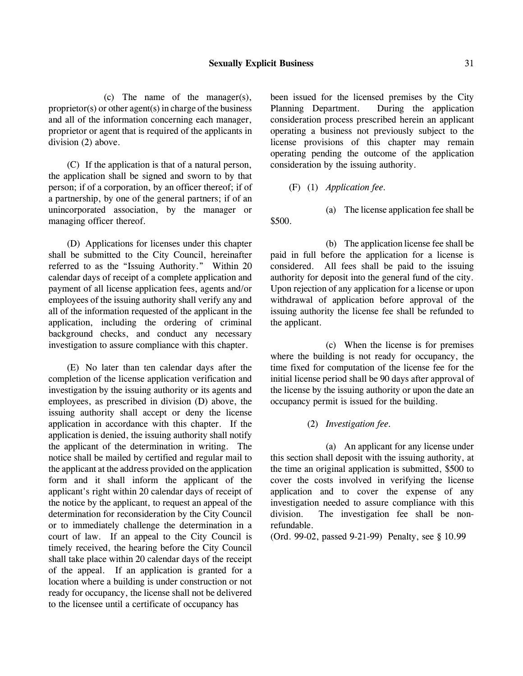(c) The name of the manager(s), proprietor(s) or other agent(s) in charge of the business and all of the information concerning each manager, proprietor or agent that is required of the applicants in division (2) above.

(C) If the application is that of a natural person, the application shall be signed and sworn to by that person; if of a corporation, by an officer thereof; if of a partnership, by one of the general partners; if of an unincorporated association, by the manager or managing officer thereof.

(D) Applications for licenses under this chapter shall be submitted to the City Council, hereinafter referred to as the "Issuing Authority." Within 20 calendar days of receipt of a complete application and payment of all license application fees, agents and/or employees of the issuing authority shall verify any and all of the information requested of the applicant in the application, including the ordering of criminal background checks, and conduct any necessary investigation to assure compliance with this chapter.

(E) No later than ten calendar days after the completion of the license application verification and investigation by the issuing authority or its agents and employees, as prescribed in division (D) above, the issuing authority shall accept or deny the license application in accordance with this chapter. If the application is denied, the issuing authority shall notify the applicant of the determination in writing. The notice shall be mailed by certified and regular mail to the applicant at the address provided on the application form and it shall inform the applicant of the applicant's right within 20 calendar days of receipt of the notice by the applicant, to request an appeal of the determination for reconsideration by the City Council or to immediately challenge the determination in a court of law. If an appeal to the City Council is timely received, the hearing before the City Council shall take place within 20 calendar days of the receipt of the appeal. If an application is granted for a location where a building is under construction or not ready for occupancy, the license shall not be delivered to the licensee until a certificate of occupancy has

been issued for the licensed premises by the City Planning Department. During the application consideration process prescribed herein an applicant operating a business not previously subject to the license provisions of this chapter may remain operating pending the outcome of the application consideration by the issuing authority.

(F) (1) *Application fee.*

\$500.

(b) The application license fee shall be paid in full before the application for a license is considered. All fees shall be paid to the issuing authority for deposit into the general fund of the city. Upon rejection of any application for a license or upon withdrawal of application before approval of the issuing authority the license fee shall be refunded to the applicant.

(a) The license application fee shall be

(c) When the license is for premises where the building is not ready for occupancy, the time fixed for computation of the license fee for the initial license period shall be 90 days after approval of the license by the issuing authority or upon the date an occupancy permit is issued for the building.

(2) *Investigation fee.*

(a) An applicant for any license under this section shall deposit with the issuing authority, at the time an original application is submitted, \$500 to cover the costs involved in verifying the license application and to cover the expense of any investigation needed to assure compliance with this division. The investigation fee shall be nonrefundable.

(Ord. 99-02, passed 9-21-99) Penalty, see § 10.99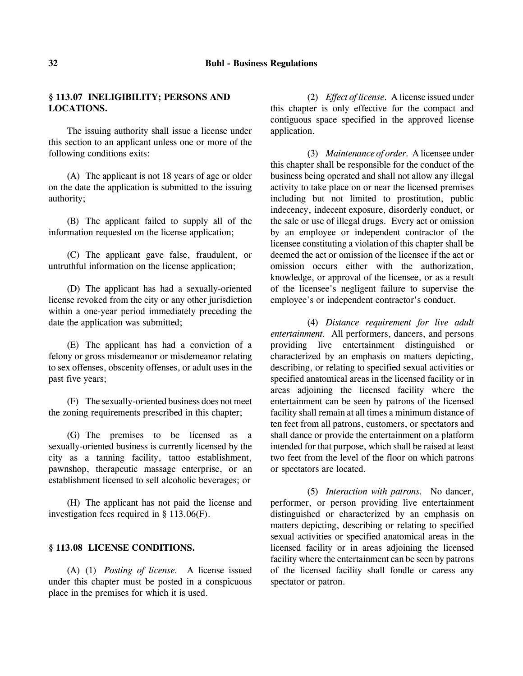# **32 Buhl - Business Regulations**

# **§ 113.07 INELIGIBILITY; PERSONS AND LOCATIONS.**

The issuing authority shall issue a license under this section to an applicant unless one or more of the following conditions exits:

(A) The applicant is not 18 years of age or older on the date the application is submitted to the issuing authority;

(B) The applicant failed to supply all of the information requested on the license application;

(C) The applicant gave false, fraudulent, or untruthful information on the license application;

(D) The applicant has had a sexually-oriented license revoked from the city or any other jurisdiction within a one-year period immediately preceding the date the application was submitted;

(E) The applicant has had a conviction of a felony or gross misdemeanor or misdemeanor relating to sex offenses, obscenity offenses, or adult uses in the past five years;

(F) The sexually-oriented business does not meet the zoning requirements prescribed in this chapter;

(G) The premises to be licensed as a sexually-oriented business is currently licensed by the city as a tanning facility, tattoo establishment, pawnshop, therapeutic massage enterprise, or an establishment licensed to sell alcoholic beverages; or

(H) The applicant has not paid the license and investigation fees required in § 113.06(F).

### **§ 113.08 LICENSE CONDITIONS.**

(A) (1) *Posting of license.* A license issued under this chapter must be posted in a conspicuous place in the premises for which it is used.

(2) *Effect of license.* A license issued under this chapter is only effective for the compact and contiguous space specified in the approved license application.

(3) *Maintenance of order.* A licensee under this chapter shall be responsible for the conduct of the business being operated and shall not allow any illegal activity to take place on or near the licensed premises including but not limited to prostitution, public indecency, indecent exposure, disorderly conduct, or the sale or use of illegal drugs. Every act or omission by an employee or independent contractor of the licensee constituting a violation of this chapter shall be deemed the act or omission of the licensee if the act or omission occurs either with the authorization, knowledge, or approval of the licensee, or as a result of the licensee's negligent failure to supervise the employee's or independent contractor's conduct.

(4) *Distance requirement for live adult entertainment.* All performers, dancers, and persons providing live entertainment distinguished or characterized by an emphasis on matters depicting, describing, or relating to specified sexual activities or specified anatomical areas in the licensed facility or in areas adjoining the licensed facility where the entertainment can be seen by patrons of the licensed facility shall remain at all times a minimum distance of ten feet from all patrons, customers, or spectators and shall dance or provide the entertainment on a platform intended for that purpose, which shall be raised at least two feet from the level of the floor on which patrons or spectators are located.

(5) *Interaction with patrons.* No dancer, performer, or person providing live entertainment distinguished or characterized by an emphasis on matters depicting, describing or relating to specified sexual activities or specified anatomical areas in the licensed facility or in areas adjoining the licensed facility where the entertainment can be seen by patrons of the licensed facility shall fondle or caress any spectator or patron.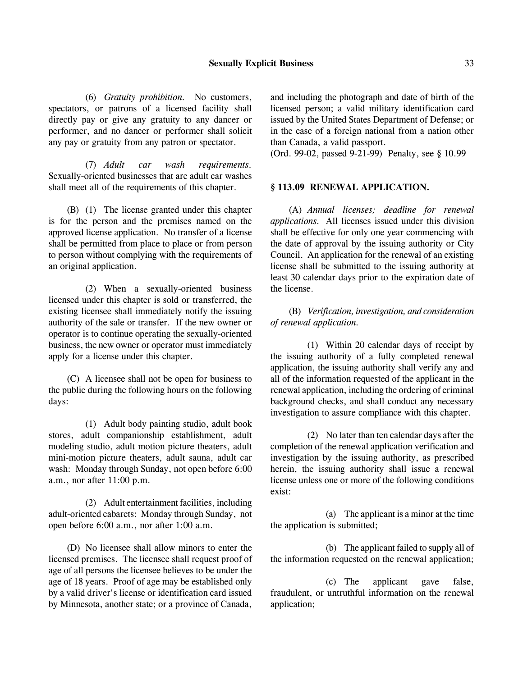(6) *Gratuity prohibition.* No customers, spectators, or patrons of a licensed facility shall directly pay or give any gratuity to any dancer or performer, and no dancer or performer shall solicit any pay or gratuity from any patron or spectator.

(7) *Adult car wash requirements.* Sexually-oriented businesses that are adult car washes shall meet all of the requirements of this chapter.

(B) (1) The license granted under this chapter is for the person and the premises named on the approved license application. No transfer of a license shall be permitted from place to place or from person to person without complying with the requirements of an original application.

(2) When a sexually-oriented business licensed under this chapter is sold or transferred, the existing licensee shall immediately notify the issuing authority of the sale or transfer. If the new owner or operator is to continue operating the sexually-oriented business, the new owner or operator must immediately apply for a license under this chapter.

(C) A licensee shall not be open for business to the public during the following hours on the following days:

(1) Adult body painting studio, adult book stores, adult companionship establishment, adult modeling studio, adult motion picture theaters, adult mini-motion picture theaters, adult sauna, adult car wash: Monday through Sunday, not open before 6:00 a.m., nor after 11:00 p.m.

(2) Adult entertainment facilities, including adult-oriented cabarets: Monday through Sunday, not open before 6:00 a.m., nor after 1:00 a.m.

(D) No licensee shall allow minors to enter the licensed premises. The licensee shall request proof of age of all persons the licensee believes to be under the age of 18 years. Proof of age may be established only by a valid driver's license or identification card issued by Minnesota, another state; or a province of Canada,

and including the photograph and date of birth of the licensed person; a valid military identification card issued by the United States Department of Defense; or in the case of a foreign national from a nation other than Canada, a valid passport.

(Ord. 99-02, passed 9-21-99) Penalty, see § 10.99

### **§ 113.09 RENEWAL APPLICATION.**

(A) *Annual licenses; deadline for renewal applications.* All licenses issued under this division shall be effective for only one year commencing with the date of approval by the issuing authority or City Council. An application for the renewal of an existing license shall be submitted to the issuing authority at least 30 calendar days prior to the expiration date of the license.

(B) *Verification, investigation, and consideration of renewal application.*

(1) Within 20 calendar days of receipt by the issuing authority of a fully completed renewal application, the issuing authority shall verify any and all of the information requested of the applicant in the renewal application, including the ordering of criminal background checks, and shall conduct any necessary investigation to assure compliance with this chapter.

(2) No later than ten calendar days after the completion of the renewal application verification and investigation by the issuing authority, as prescribed herein, the issuing authority shall issue a renewal license unless one or more of the following conditions exist:

(a) The applicant is a minor at the time the application is submitted;

(b) The applicant failed to supply all of the information requested on the renewal application;

(c) The applicant gave false, fraudulent, or untruthful information on the renewal application;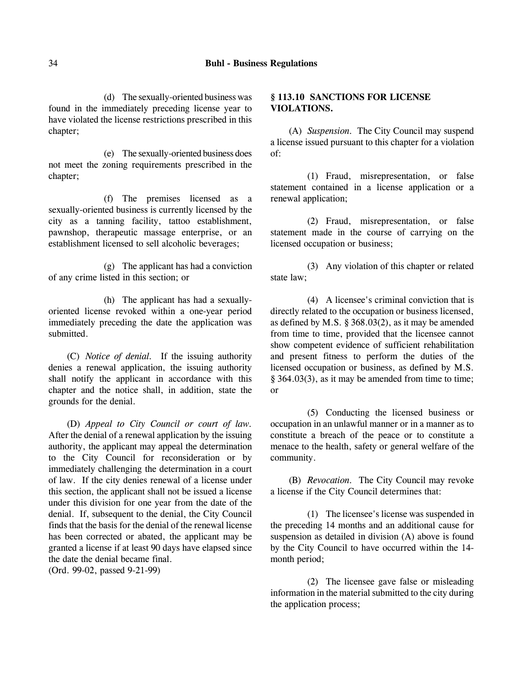(d) The sexually-oriented business was found in the immediately preceding license year to have violated the license restrictions prescribed in this chapter;

(e) The sexually-oriented business does not meet the zoning requirements prescribed in the chapter;

(f) The premises licensed as a sexually-oriented business is currently licensed by the city as a tanning facility, tattoo establishment, pawnshop, therapeutic massage enterprise, or an establishment licensed to sell alcoholic beverages;

(g) The applicant has had a conviction of any crime listed in this section; or

(h) The applicant has had a sexuallyoriented license revoked within a one-year period immediately preceding the date the application was submitted.

(C) *Notice of denial.* If the issuing authority denies a renewal application, the issuing authority shall notify the applicant in accordance with this chapter and the notice shall, in addition, state the grounds for the denial.

(D) *Appeal to City Council or court of law.* After the denial of a renewal application by the issuing authority, the applicant may appeal the determination to the City Council for reconsideration or by immediately challenging the determination in a court of law. If the city denies renewal of a license under this section, the applicant shall not be issued a license under this division for one year from the date of the denial. If, subsequent to the denial, the City Council finds that the basis for the denial of the renewal license has been corrected or abated, the applicant may be granted a license if at least 90 days have elapsed since the date the denial became final.

(Ord. 99-02, passed 9-21-99)

# **§ 113.10 SANCTIONS FOR LICENSE VIOLATIONS.**

(A) *Suspension.* The City Council may suspend a license issued pursuant to this chapter for a violation of:

(1) Fraud, misrepresentation, or false statement contained in a license application or a renewal application;

(2) Fraud, misrepresentation, or false statement made in the course of carrying on the licensed occupation or business;

(3) Any violation of this chapter or related state law;

(4) A licensee's criminal conviction that is directly related to the occupation or business licensed, as defined by M.S. § 368.03(2), as it may be amended from time to time, provided that the licensee cannot show competent evidence of sufficient rehabilitation and present fitness to perform the duties of the licensed occupation or business, as defined by M.S. § 364.03(3), as it may be amended from time to time; or

(5) Conducting the licensed business or occupation in an unlawful manner or in a manner as to constitute a breach of the peace or to constitute a menace to the health, safety or general welfare of the community.

(B) *Revocation.* The City Council may revoke a license if the City Council determines that:

(1) The licensee's license was suspended in the preceding 14 months and an additional cause for suspension as detailed in division (A) above is found by the City Council to have occurred within the 14 month period;

(2) The licensee gave false or misleading information in the material submitted to the city during the application process;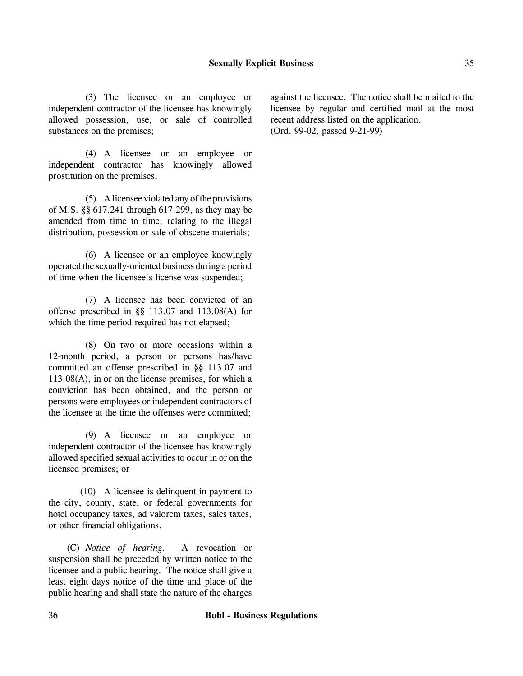(3) The licensee or an employee or independent contractor of the licensee has knowingly allowed possession, use, or sale of controlled substances on the premises;

(4) A licensee or an employee or independent contractor has knowingly allowed prostitution on the premises;

(5) A licensee violated any of the provisions of M.S. §§ 617.241 through 617.299, as they may be amended from time to time, relating to the illegal distribution, possession or sale of obscene materials;

(6) A licensee or an employee knowingly operated the sexually-oriented business during a period of time when the licensee's license was suspended;

(7) A licensee has been convicted of an offense prescribed in §§ 113.07 and 113.08(A) for which the time period required has not elapsed;

(8) On two or more occasions within a 12-month period, a person or persons has/have committed an offense prescribed in §§ 113.07 and 113.08(A), in or on the license premises, for which a conviction has been obtained, and the person or persons were employees or independent contractors of the licensee at the time the offenses were committed;

(9) A licensee or an employee or independent contractor of the licensee has knowingly allowed specified sexual activities to occur in or on the licensed premises; or

(10) A licensee is delinquent in payment to the city, county, state, or federal governments for hotel occupancy taxes, ad valorem taxes, sales taxes, or other financial obligations.

(C) *Notice of hearing.* A revocation or suspension shall be preceded by written notice to the licensee and a public hearing. The notice shall give a least eight days notice of the time and place of the public hearing and shall state the nature of the charges against the licensee. The notice shall be mailed to the licensee by regular and certified mail at the most recent address listed on the application. (Ord. 99-02, passed 9-21-99)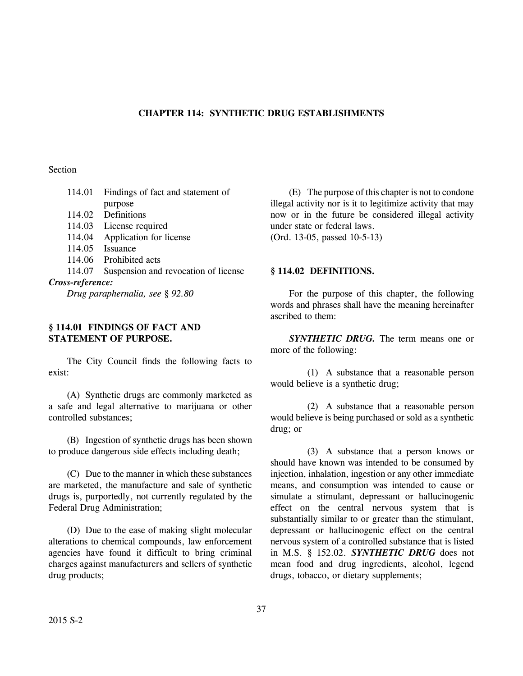## **CHAPTER 114: SYNTHETIC DRUG ESTABLISHMENTS**

# Section

| 114.01           | Findings of fact and statement of    |  |
|------------------|--------------------------------------|--|
|                  | purpose                              |  |
|                  | 114.02 Definitions                   |  |
| 114.03           | License required                     |  |
| 114.04           | Application for license              |  |
|                  | 114.05 Issuance                      |  |
|                  | 114.06 Prohibited acts               |  |
| 114.07           | Suspension and revocation of license |  |
| Cross-reference: |                                      |  |
|                  |                                      |  |

*Drug paraphernalia, see § 92.80*

## **§ 114.01 FINDINGS OF FACT AND STATEMENT OF PURPOSE.**

The City Council finds the following facts to exist:

(A) Synthetic drugs are commonly marketed as a safe and legal alternative to marijuana or other controlled substances;

(B) Ingestion of synthetic drugs has been shown to produce dangerous side effects including death;

(C) Due to the manner in which these substances are marketed, the manufacture and sale of synthetic drugs is, purportedly, not currently regulated by the Federal Drug Administration;

(D) Due to the ease of making slight molecular alterations to chemical compounds, law enforcement agencies have found it difficult to bring criminal charges against manufacturers and sellers of synthetic drug products;

(E) The purpose of this chapter is not to condone illegal activity nor is it to legitimize activity that may now or in the future be considered illegal activity under state or federal laws.

(Ord. 13-05, passed 10-5-13)

### **§ 114.02 DEFINITIONS.**

For the purpose of this chapter, the following words and phrases shall have the meaning hereinafter ascribed to them:

*SYNTHETIC DRUG.* The term means one or more of the following:

(1) A substance that a reasonable person would believe is a synthetic drug;

(2) A substance that a reasonable person would believe is being purchased or sold as a synthetic drug; or

(3) A substance that a person knows or should have known was intended to be consumed by injection, inhalation, ingestion or any other immediate means, and consumption was intended to cause or simulate a stimulant, depressant or hallucinogenic effect on the central nervous system that is substantially similar to or greater than the stimulant, depressant or hallucinogenic effect on the central nervous system of a controlled substance that is listed in M.S. § 152.02. *SYNTHETIC DRUG* does not mean food and drug ingredients, alcohol, legend drugs, tobacco, or dietary supplements;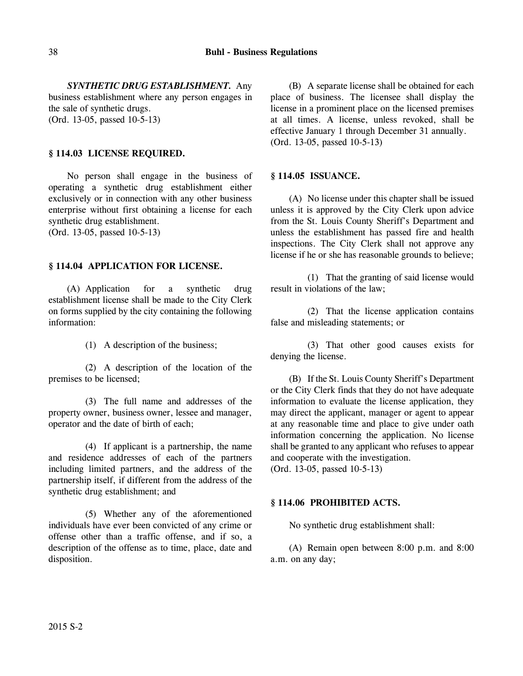*SYNTHETIC DRUG ESTABLISHMENT.* Any business establishment where any person engages in the sale of synthetic drugs. (Ord. 13-05, passed 10-5-13)

# **§ 114.03 LICENSE REQUIRED.**

No person shall engage in the business of operating a synthetic drug establishment either exclusively or in connection with any other business enterprise without first obtaining a license for each synthetic drug establishment. (Ord. 13-05, passed 10-5-13)

## **§ 114.04 APPLICATION FOR LICENSE.**

(A) Application for a synthetic drug establishment license shall be made to the City Clerk on forms supplied by the city containing the following information:

(1) A description of the business;

(2) A description of the location of the premises to be licensed;

(3) The full name and addresses of the property owner, business owner, lessee and manager, operator and the date of birth of each;

(4) If applicant is a partnership, the name and residence addresses of each of the partners including limited partners, and the address of the partnership itself, if different from the address of the synthetic drug establishment; and

(5) Whether any of the aforementioned individuals have ever been convicted of any crime or offense other than a traffic offense, and if so, a description of the offense as to time, place, date and disposition.

(B) A separate license shall be obtained for each place of business. The licensee shall display the license in a prominent place on the licensed premises at all times. A license, unless revoked, shall be effective January 1 through December 31 annually. (Ord. 13-05, passed 10-5-13)

### **§ 114.05 ISSUANCE.**

(A) No license under this chapter shall be issued unless it is approved by the City Clerk upon advice from the St. Louis County Sheriff's Department and unless the establishment has passed fire and health inspections. The City Clerk shall not approve any license if he or she has reasonable grounds to believe;

(1) That the granting of said license would result in violations of the law;

(2) That the license application contains false and misleading statements; or

(3) That other good causes exists for denying the license.

(B) If the St. Louis County Sheriff's Department or the City Clerk finds that they do not have adequate information to evaluate the license application, they may direct the applicant, manager or agent to appear at any reasonable time and place to give under oath information concerning the application. No license shall be granted to any applicant who refuses to appear and cooperate with the investigation.

(Ord. 13-05, passed 10-5-13)

# **§ 114.06 PROHIBITED ACTS.**

No synthetic drug establishment shall:

(A) Remain open between 8:00 p.m. and 8:00 a.m. on any day;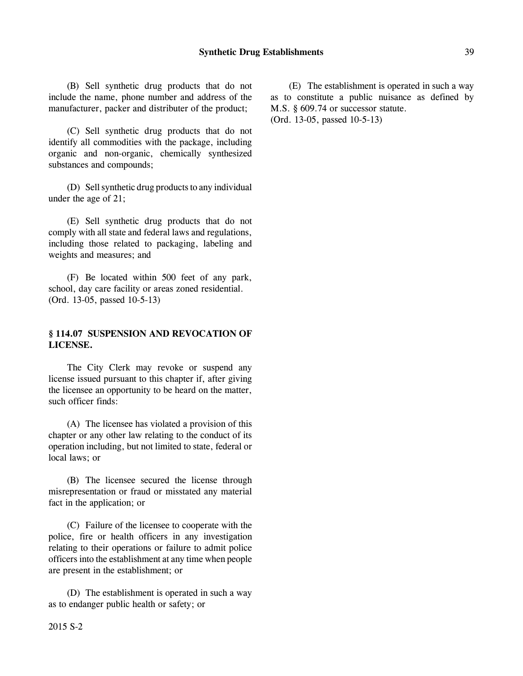(B) Sell synthetic drug products that do not include the name, phone number and address of the manufacturer, packer and distributer of the product;

(C) Sell synthetic drug products that do not identify all commodities with the package, including organic and non-organic, chemically synthesized substances and compounds;

(D) Sell synthetic drug products to any individual under the age of 21;

(E) Sell synthetic drug products that do not comply with all state and federal laws and regulations, including those related to packaging, labeling and weights and measures; and

(F) Be located within 500 feet of any park, school, day care facility or areas zoned residential. (Ord. 13-05, passed 10-5-13)

# **§ 114.07 SUSPENSION AND REVOCATION OF LICENSE.**

The City Clerk may revoke or suspend any license issued pursuant to this chapter if, after giving the licensee an opportunity to be heard on the matter, such officer finds:

(A) The licensee has violated a provision of this chapter or any other law relating to the conduct of its operation including, but not limited to state, federal or local laws; or

(B) The licensee secured the license through misrepresentation or fraud or misstated any material fact in the application; or

(C) Failure of the licensee to cooperate with the police, fire or health officers in any investigation relating to their operations or failure to admit police officers into the establishment at any time when people are present in the establishment; or

(D) The establishment is operated in such a way as to endanger public health or safety; or

(E) The establishment is operated in such a way as to constitute a public nuisance as defined by M.S. § 609.74 or successor statute. (Ord. 13-05, passed 10-5-13)